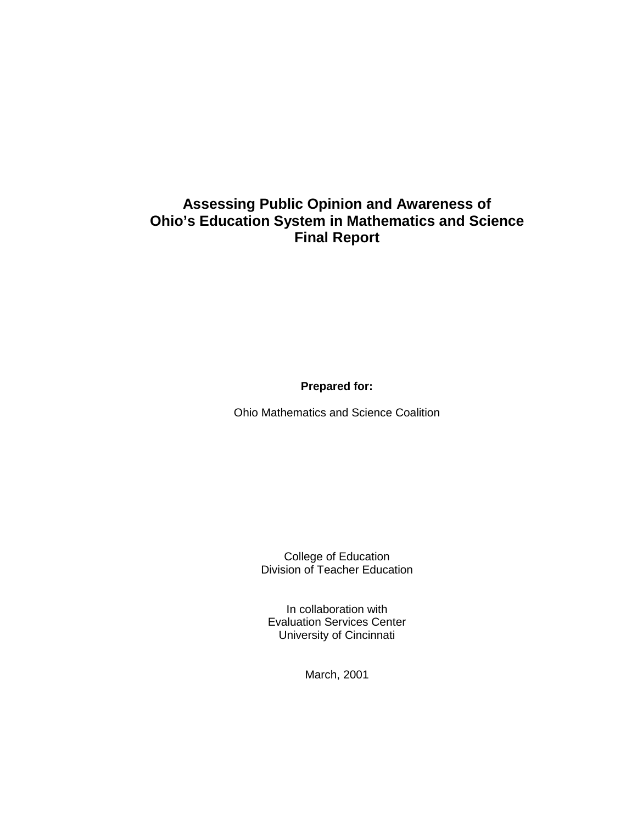# **Assessing Public Opinion and Awareness of Ohio's Education System in Mathematics and Science Final Report**

**Prepared for:** 

Ohio Mathematics and Science Coalition

College of Education Division of Teacher Education

In collaboration with Evaluation Services Center University of Cincinnati

March, 2001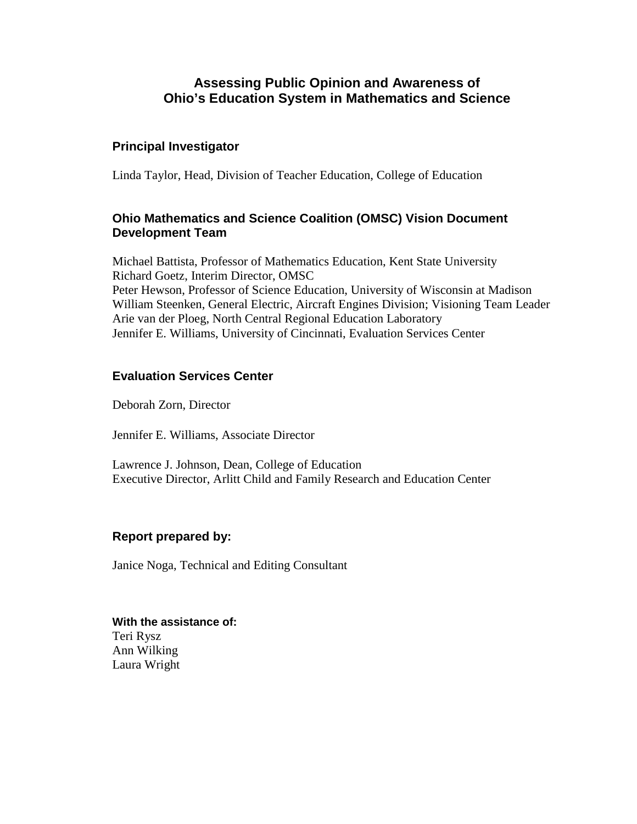# **Assessing Public Opinion and Awareness of Ohio's Education System in Mathematics and Science**

### **Principal Investigator**

Linda Taylor, Head, Division of Teacher Education, College of Education

### **Ohio Mathematics and Science Coalition (OMSC) Vision Document Development Team**

Michael Battista, Professor of Mathematics Education, Kent State University Richard Goetz, Interim Director, OMSC Peter Hewson, Professor of Science Education, University of Wisconsin at Madison William Steenken, General Electric, Aircraft Engines Division; Visioning Team Leader Arie van der Ploeg, North Central Regional Education Laboratory Jennifer E. Williams, University of Cincinnati, Evaluation Services Center

### **Evaluation Services Center**

Deborah Zorn, Director

Jennifer E. Williams, Associate Director

Lawrence J. Johnson, Dean, College of Education Executive Director, Arlitt Child and Family Research and Education Center

### **Report prepared by:**

Janice Noga, Technical and Editing Consultant

**With the assistance of:**  Teri Rysz Ann Wilking Laura Wright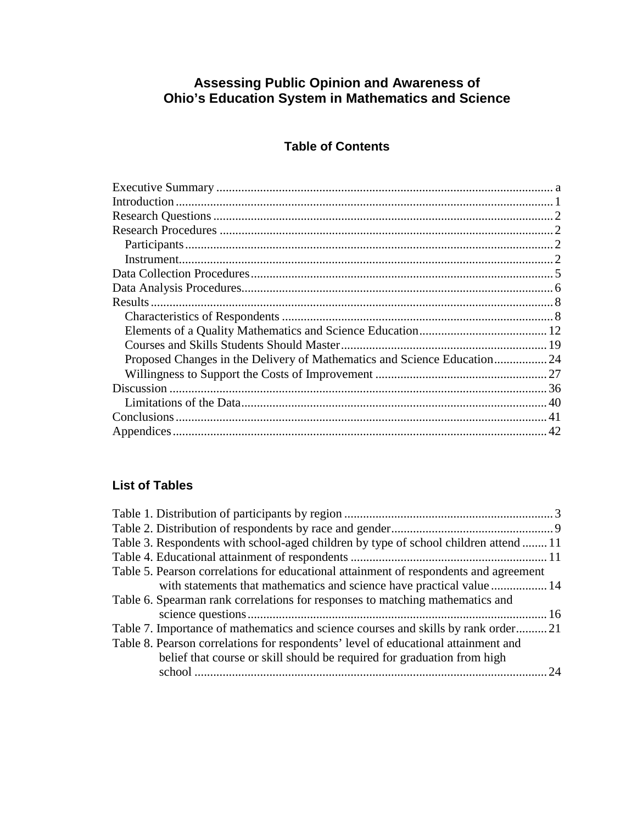# **Assessing Public Opinion and Awareness of Ohio's Education System in Mathematics and Science**

# **Table of Contents**

# **List of Tables**

| Table 3. Respondents with school-aged children by type of school children attend  11  |    |
|---------------------------------------------------------------------------------------|----|
|                                                                                       |    |
| Table 5. Pearson correlations for educational attainment of respondents and agreement |    |
| with statements that mathematics and science have practical value  14                 |    |
| Table 6. Spearman rank correlations for responses to matching mathematics and         |    |
|                                                                                       |    |
| Table 7. Importance of mathematics and science courses and skills by rank order21     |    |
| Table 8. Pearson correlations for respondents' level of educational attainment and    |    |
| belief that course or skill should be required for graduation from high               |    |
|                                                                                       | 24 |
|                                                                                       |    |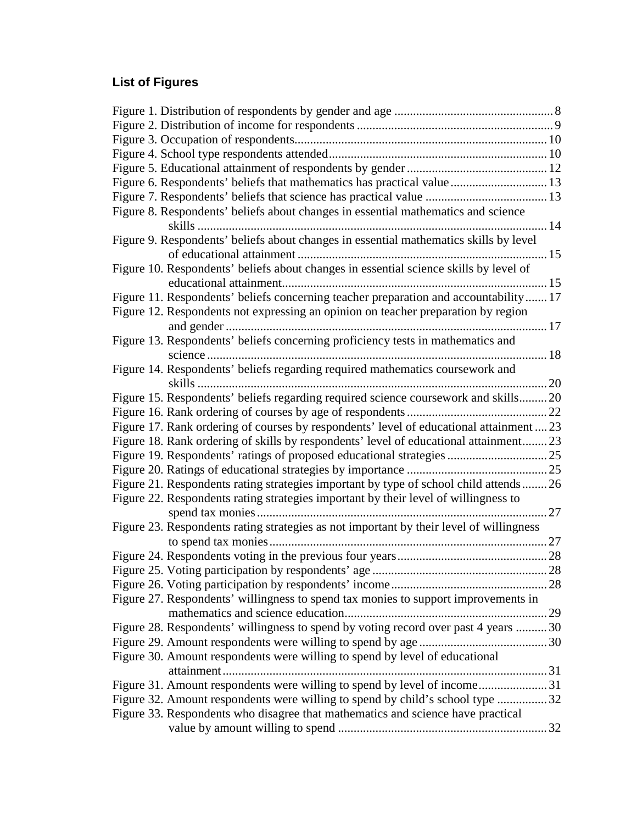# **List of Figures**

| Figure 6. Respondents' beliefs that mathematics has practical value 13                  |    |
|-----------------------------------------------------------------------------------------|----|
|                                                                                         |    |
| Figure 8. Respondents' beliefs about changes in essential mathematics and science       |    |
| Figure 9. Respondents' beliefs about changes in essential mathematics skills by level   |    |
|                                                                                         |    |
| Figure 10. Respondents' beliefs about changes in essential science skills by level of   |    |
|                                                                                         |    |
| Figure 11. Respondents' beliefs concerning teacher preparation and accountability 17    |    |
| Figure 12. Respondents not expressing an opinion on teacher preparation by region       |    |
|                                                                                         |    |
| Figure 13. Respondents' beliefs concerning proficiency tests in mathematics and         |    |
|                                                                                         |    |
| Figure 14. Respondents' beliefs regarding required mathematics coursework and           |    |
|                                                                                         |    |
| Figure 15. Respondents' beliefs regarding required science coursework and skills 20     |    |
|                                                                                         |    |
| Figure 17. Rank ordering of courses by respondents' level of educational attainment  23 |    |
| Figure 18. Rank ordering of skills by respondents' level of educational attainment23    |    |
|                                                                                         |    |
|                                                                                         |    |
| Figure 21. Respondents rating strategies important by type of school child attends26    |    |
| Figure 22. Respondents rating strategies important by their level of willingness to     |    |
|                                                                                         | 27 |
| Figure 23. Respondents rating strategies as not important by their level of willingness |    |
|                                                                                         |    |
|                                                                                         |    |
|                                                                                         |    |
|                                                                                         |    |
| Figure 27. Respondents' willingness to spend tax monies to support improvements in      |    |
|                                                                                         |    |
| Figure 28. Respondents' willingness to spend by voting record over past 4 years  30     |    |
|                                                                                         |    |
| Figure 30. Amount respondents were willing to spend by level of educational             |    |
|                                                                                         |    |
| Figure 31. Amount respondents were willing to spend by level of income31                |    |
| Figure 32. Amount respondents were willing to spend by child's school type 32           |    |
| Figure 33. Respondents who disagree that mathematics and science have practical         |    |
|                                                                                         |    |
|                                                                                         |    |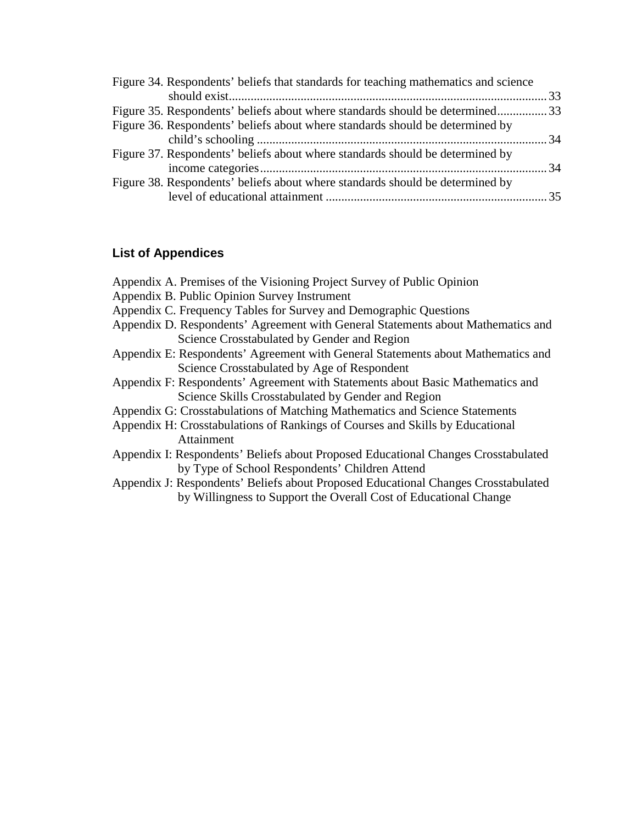| Figure 34. Respondents' beliefs that standards for teaching mathematics and science |  |
|-------------------------------------------------------------------------------------|--|
|                                                                                     |  |
| Figure 35. Respondents' beliefs about where standards should be determined33        |  |
| Figure 36. Respondents' beliefs about where standards should be determined by       |  |
|                                                                                     |  |
| Figure 37. Respondents' beliefs about where standards should be determined by       |  |
|                                                                                     |  |
| Figure 38. Respondents' beliefs about where standards should be determined by       |  |
|                                                                                     |  |
|                                                                                     |  |

# **List of Appendices**

| Appendix A. Premises of the Visioning Project Survey of Public Opinion             |
|------------------------------------------------------------------------------------|
| Appendix B. Public Opinion Survey Instrument                                       |
| Appendix C. Frequency Tables for Survey and Demographic Questions                  |
| Appendix D. Respondents' Agreement with General Statements about Mathematics and   |
| Science Crosstabulated by Gender and Region                                        |
| Appendix E: Respondents' Agreement with General Statements about Mathematics and   |
| Science Crosstabulated by Age of Respondent                                        |
| Appendix F: Respondents' Agreement with Statements about Basic Mathematics and     |
| Science Skills Crosstabulated by Gender and Region                                 |
| Appendix G: Crosstabulations of Matching Mathematics and Science Statements        |
| Appendix H: Crosstabulations of Rankings of Courses and Skills by Educational      |
| Attainment                                                                         |
| Appendix I: Respondents' Beliefs about Proposed Educational Changes Crosstabulated |
| by Type of School Respondents' Children Attend                                     |
| Appendix J: Respondents' Beliefs about Proposed Educational Changes Crosstabulated |
| by Willingness to Support the Overall Cost of Educational Change                   |
|                                                                                    |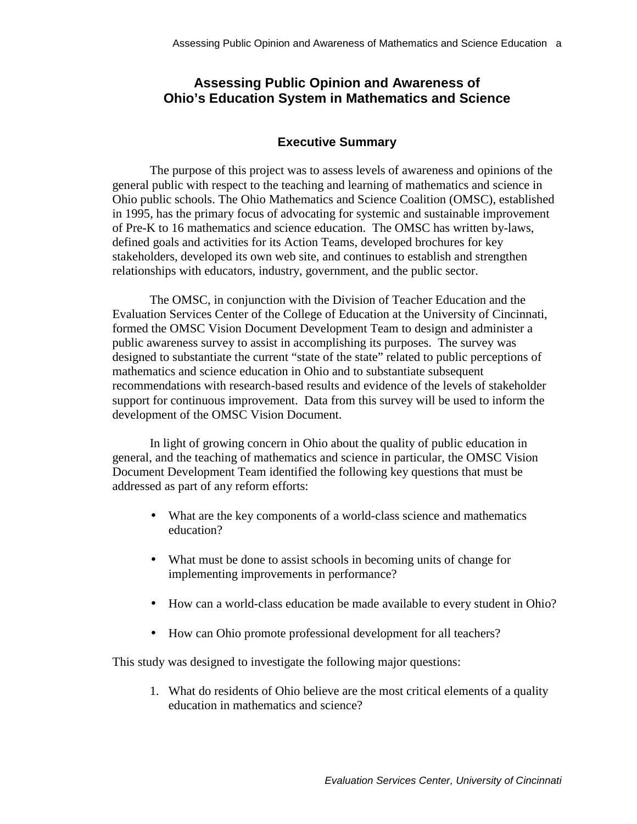# <span id="page-5-0"></span>**Assessing Public Opinion and Awareness of Ohio's Education System in Mathematics and Science**

### **Executive Summary**

The purpose of this project was to assess levels of awareness and opinions of the general public with respect to the teaching and learning of mathematics and science in Ohio public schools. The Ohio Mathematics and Science Coalition (OMSC), established in 1995, has the primary focus of advocating for systemic and sustainable improvement of Pre-K to 16 mathematics and science education. The OMSC has written by-laws, defined goals and activities for its Action Teams, developed brochures for key stakeholders, developed its own web site, and continues to establish and strengthen relationships with educators, industry, government, and the public sector.

The OMSC, in conjunction with the Division of Teacher Education and the Evaluation Services Center of the College of Education at the University of Cincinnati, formed the OMSC Vision Document Development Team to design and administer a public awareness survey to assist in accomplishing its purposes. The survey was designed to substantiate the current "state of the state" related to public perceptions of mathematics and science education in Ohio and to substantiate subsequent recommendations with research-based results and evidence of the levels of stakeholder support for continuous improvement. Data from this survey will be used to inform the development of the OMSC Vision Document.

In light of growing concern in Ohio about the quality of public education in general, and the teaching of mathematics and science in particular, the OMSC Vision Document Development Team identified the following key questions that must be addressed as part of any reform efforts:

- What are the key components of a world-class science and mathematics education?
- What must be done to assist schools in becoming units of change for implementing improvements in performance?
- How can a world-class education be made available to every student in Ohio?
- How can Ohio promote professional development for all teachers?

This study was designed to investigate the following major questions:

1. What do residents of Ohio believe are the most critical elements of a quality education in mathematics and science?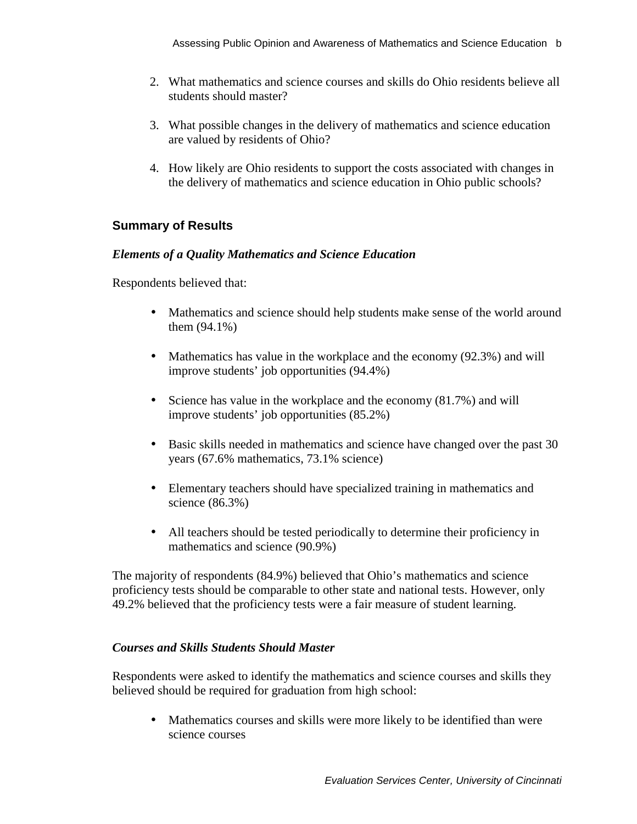- 2. What mathematics and science courses and skills do Ohio residents believe all students should master?
- 3. What possible changes in the delivery of mathematics and science education are valued by residents of Ohio?
- 4. How likely are Ohio residents to support the costs associated with changes in the delivery of mathematics and science education in Ohio public schools?

# **Summary of Results**

### *Elements of a Quality Mathematics and Science Education*

Respondents believed that:

- Mathematics and science should help students make sense of the world around them (94.1%)
- Mathematics has value in the workplace and the economy (92.3%) and will improve students' job opportunities (94.4%)
- Science has value in the workplace and the economy (81.7%) and will improve students' job opportunities (85.2%)
- Basic skills needed in mathematics and science have changed over the past 30 years (67.6% mathematics, 73.1% science)
- Elementary teachers should have specialized training in mathematics and science (86.3%)
- All teachers should be tested periodically to determine their proficiency in mathematics and science (90.9%)

The majority of respondents (84.9%) believed that Ohio's mathematics and science proficiency tests should be comparable to other state and national tests. However, only 49.2% believed that the proficiency tests were a fair measure of student learning.

### *Courses and Skills Students Should Master*

Respondents were asked to identify the mathematics and science courses and skills they believed should be required for graduation from high school:

Mathematics courses and skills were more likely to be identified than were science courses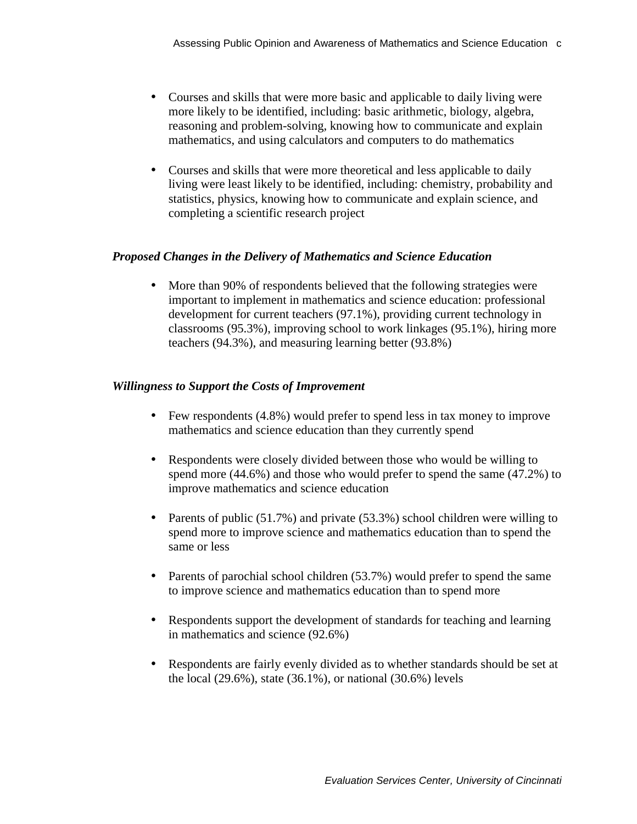- Courses and skills that were more basic and applicable to daily living were more likely to be identified, including: basic arithmetic, biology, algebra, reasoning and problem-solving, knowing how to communicate and explain mathematics, and using calculators and computers to do mathematics
- Courses and skills that were more theoretical and less applicable to daily living were least likely to be identified, including: chemistry, probability and statistics, physics, knowing how to communicate and explain science, and completing a scientific research project

### *Proposed Changes in the Delivery of Mathematics and Science Education*

More than 90% of respondents believed that the following strategies were important to implement in mathematics and science education: professional development for current teachers (97.1%), providing current technology in classrooms (95.3%), improving school to work linkages (95.1%), hiring more teachers (94.3%), and measuring learning better (93.8%)

### *Willingness to Support the Costs of Improvement*

- Few respondents (4.8%) would prefer to spend less in tax money to improve mathematics and science education than they currently spend
- Respondents were closely divided between those who would be willing to spend more (44.6%) and those who would prefer to spend the same (47.2%) to improve mathematics and science education
- Parents of public (51.7%) and private (53.3%) school children were willing to spend more to improve science and mathematics education than to spend the same or less
- Parents of parochial school children (53.7%) would prefer to spend the same to improve science and mathematics education than to spend more
- Respondents support the development of standards for teaching and learning in mathematics and science (92.6%)
- Respondents are fairly evenly divided as to whether standards should be set at the local (29.6%), state (36.1%), or national (30.6%) levels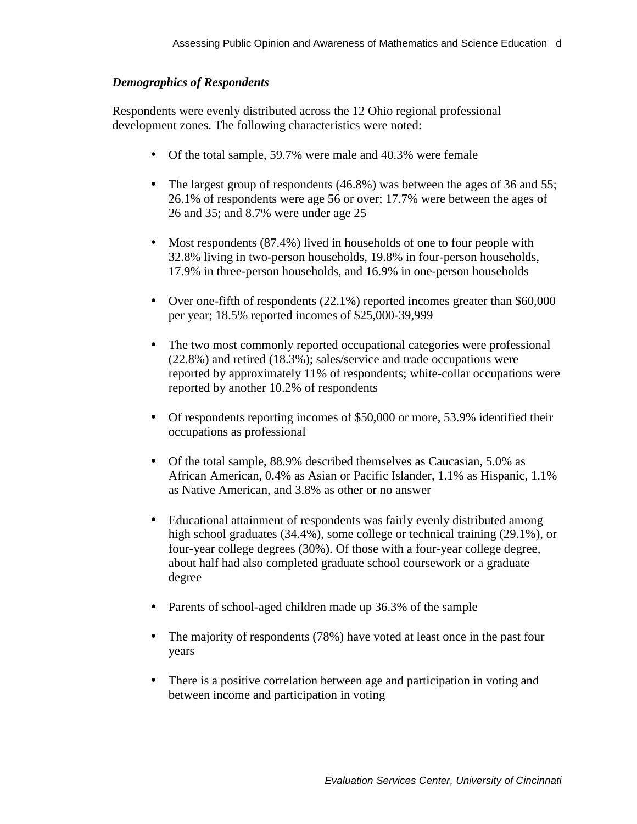### *Demographics of Respondents*

Respondents were evenly distributed across the 12 Ohio regional professional development zones. The following characteristics were noted:

- Of the total sample, 59.7% were male and 40.3% were female
- The largest group of respondents (46.8%) was between the ages of 36 and 55; 26.1% of respondents were age 56 or over; 17.7% were between the ages of 26 and 35; and 8.7% were under age 25
- Most respondents (87.4%) lived in households of one to four people with 32.8% living in two-person households, 19.8% in four-person households, 17.9% in three-person households, and 16.9% in one-person households
- Over one-fifth of respondents (22.1%) reported incomes greater than \$60,000 per year; 18.5% reported incomes of \$25,000-39,999
- The two most commonly reported occupational categories were professional (22.8%) and retired (18.3%); sales/service and trade occupations were reported by approximately 11% of respondents; white-collar occupations were reported by another 10.2% of respondents
- Of respondents reporting incomes of \$50,000 or more, 53.9% identified their occupations as professional
- Of the total sample, 88.9% described themselves as Caucasian, 5.0% as African American, 0.4% as Asian or Pacific Islander, 1.1% as Hispanic, 1.1% as Native American, and 3.8% as other or no answer
- Educational attainment of respondents was fairly evenly distributed among high school graduates (34.4%), some college or technical training (29.1%), or four-year college degrees (30%). Of those with a four-year college degree, about half had also completed graduate school coursework or a graduate degree
- Parents of school-aged children made up 36.3% of the sample
- The majority of respondents (78%) have voted at least once in the past four years
- There is a positive correlation between age and participation in voting and between income and participation in voting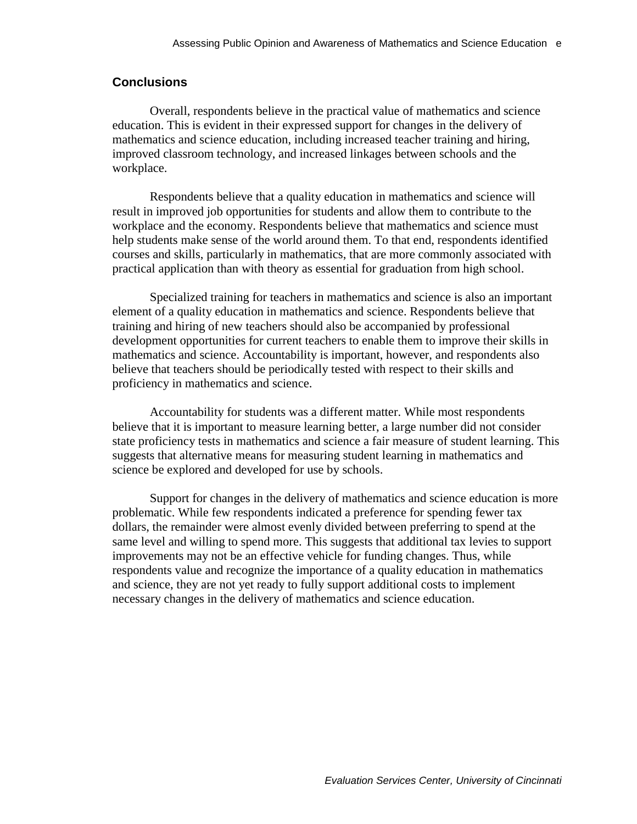### **Conclusions**

Overall, respondents believe in the practical value of mathematics and science education. This is evident in their expressed support for changes in the delivery of mathematics and science education, including increased teacher training and hiring, improved classroom technology, and increased linkages between schools and the workplace.

Respondents believe that a quality education in mathematics and science will result in improved job opportunities for students and allow them to contribute to the workplace and the economy. Respondents believe that mathematics and science must help students make sense of the world around them. To that end, respondents identified courses and skills, particularly in mathematics, that are more commonly associated with practical application than with theory as essential for graduation from high school.

Specialized training for teachers in mathematics and science is also an important element of a quality education in mathematics and science. Respondents believe that training and hiring of new teachers should also be accompanied by professional development opportunities for current teachers to enable them to improve their skills in mathematics and science. Accountability is important, however, and respondents also believe that teachers should be periodically tested with respect to their skills and proficiency in mathematics and science.

Accountability for students was a different matter. While most respondents believe that it is important to measure learning better, a large number did not consider state proficiency tests in mathematics and science a fair measure of student learning. This suggests that alternative means for measuring student learning in mathematics and science be explored and developed for use by schools.

Support for changes in the delivery of mathematics and science education is more problematic. While few respondents indicated a preference for spending fewer tax dollars, the remainder were almost evenly divided between preferring to spend at the same level and willing to spend more. This suggests that additional tax levies to support improvements may not be an effective vehicle for funding changes. Thus, while respondents value and recognize the importance of a quality education in mathematics and science, they are not yet ready to fully support additional costs to implement necessary changes in the delivery of mathematics and science education.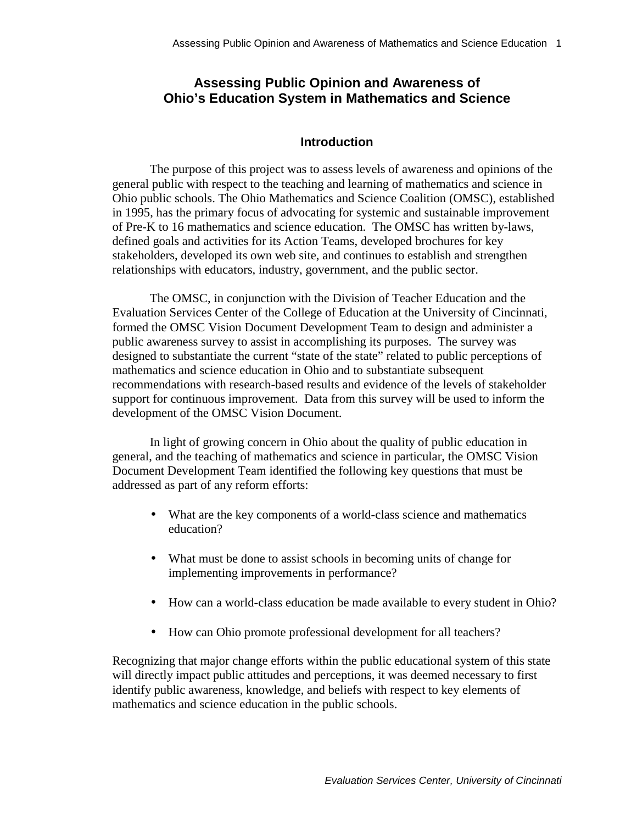# <span id="page-10-0"></span>**Assessing Public Opinion and Awareness of Ohio's Education System in Mathematics and Science**

### **Introduction**

The purpose of this project was to assess levels of awareness and opinions of the general public with respect to the teaching and learning of mathematics and science in Ohio public schools. The Ohio Mathematics and Science Coalition (OMSC), established in 1995, has the primary focus of advocating for systemic and sustainable improvement of Pre-K to 16 mathematics and science education. The OMSC has written by-laws, defined goals and activities for its Action Teams, developed brochures for key stakeholders, developed its own web site, and continues to establish and strengthen relationships with educators, industry, government, and the public sector.

The OMSC, in conjunction with the Division of Teacher Education and the Evaluation Services Center of the College of Education at the University of Cincinnati, formed the OMSC Vision Document Development Team to design and administer a public awareness survey to assist in accomplishing its purposes. The survey was designed to substantiate the current "state of the state" related to public perceptions of mathematics and science education in Ohio and to substantiate subsequent recommendations with research-based results and evidence of the levels of stakeholder support for continuous improvement. Data from this survey will be used to inform the development of the OMSC Vision Document.

In light of growing concern in Ohio about the quality of public education in general, and the teaching of mathematics and science in particular, the OMSC Vision Document Development Team identified the following key questions that must be addressed as part of any reform efforts:

- What are the key components of a world-class science and mathematics education?
- What must be done to assist schools in becoming units of change for implementing improvements in performance?
- How can a world-class education be made available to every student in Ohio?
- How can Ohio promote professional development for all teachers?

Recognizing that major change efforts within the public educational system of this state will directly impact public attitudes and perceptions, it was deemed necessary to first identify public awareness, knowledge, and beliefs with respect to key elements of mathematics and science education in the public schools.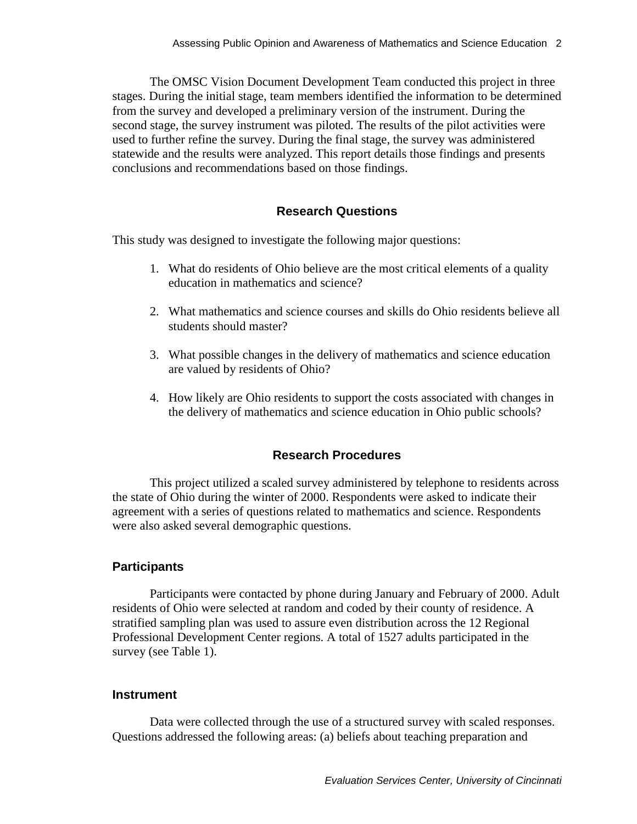<span id="page-11-0"></span>The OMSC Vision Document Development Team conducted this project in three stages. During the initial stage, team members identified the information to be determined from the survey and developed a preliminary version of the instrument. During the second stage, the survey instrument was piloted. The results of the pilot activities were used to further refine the survey. During the final stage, the survey was administered statewide and the results were analyzed. This report details those findings and presents conclusions and recommendations based on those findings.

#### **Research Questions**

This study was designed to investigate the following major questions:

- 1. What do residents of Ohio believe are the most critical elements of a quality education in mathematics and science?
- 2. What mathematics and science courses and skills do Ohio residents believe all students should master?
- 3. What possible changes in the delivery of mathematics and science education are valued by residents of Ohio?
- 4. How likely are Ohio residents to support the costs associated with changes in the delivery of mathematics and science education in Ohio public schools?

### **Research Procedures**

This project utilized a scaled survey administered by telephone to residents across the state of Ohio during the winter of 2000. Respondents were asked to indicate their agreement with a series of questions related to mathematics and science. Respondents were also asked several demographic questions.

#### **Participants**

Participants were contacted by phone during January and February of 2000. Adult residents of Ohio were selected at random and coded by their county of residence. A stratified sampling plan was used to assure even distribution across the 12 Regional Professional Development Center regions. A total of 1527 adults participated in the survey (see Table 1).

#### **Instrument**

Data were collected through the use of a structured survey with scaled responses. Questions addressed the following areas: (a) beliefs about teaching preparation and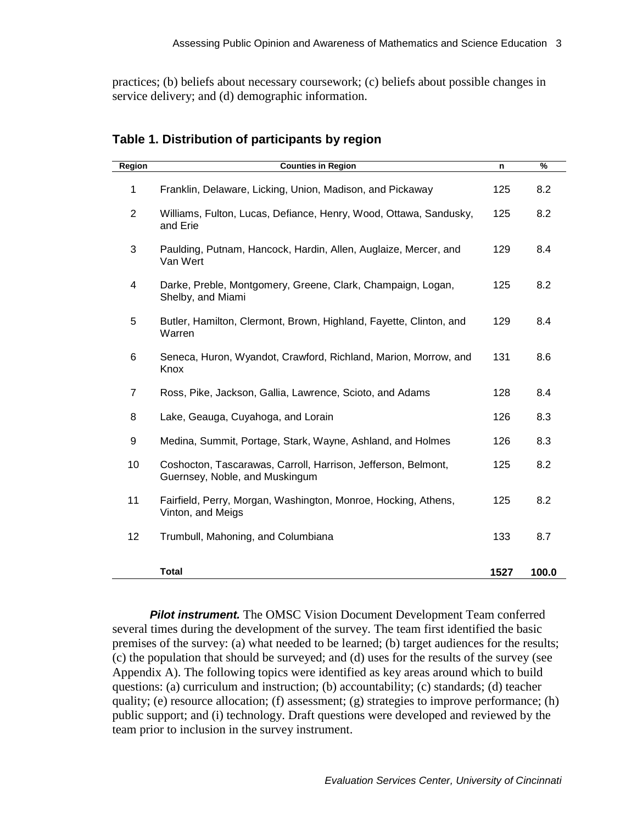<span id="page-12-0"></span>practices; (b) beliefs about necessary coursework; (c) beliefs about possible changes in service delivery; and (d) demographic information.

| <b>Region</b>  | <b>Counties in Region</b>                                                                       | n    | %     |
|----------------|-------------------------------------------------------------------------------------------------|------|-------|
| 1              | Franklin, Delaware, Licking, Union, Madison, and Pickaway                                       | 125  | 8.2   |
| $\overline{2}$ | Williams, Fulton, Lucas, Defiance, Henry, Wood, Ottawa, Sandusky,<br>and Erie                   | 125  | 8.2   |
| 3              | Paulding, Putnam, Hancock, Hardin, Allen, Auglaize, Mercer, and<br>Van Wert                     | 129  | 8.4   |
| 4              | Darke, Preble, Montgomery, Greene, Clark, Champaign, Logan,<br>Shelby, and Miami                | 125  | 8.2   |
| 5              | Butler, Hamilton, Clermont, Brown, Highland, Fayette, Clinton, and<br>Warren                    | 129  | 8.4   |
| 6              | Seneca, Huron, Wyandot, Crawford, Richland, Marion, Morrow, and<br>Knox                         | 131  | 8.6   |
| 7              | Ross, Pike, Jackson, Gallia, Lawrence, Scioto, and Adams                                        | 128  | 8.4   |
| 8              | Lake, Geauga, Cuyahoga, and Lorain                                                              | 126  | 8.3   |
| 9              | Medina, Summit, Portage, Stark, Wayne, Ashland, and Holmes                                      | 126  | 8.3   |
| 10             | Coshocton, Tascarawas, Carroll, Harrison, Jefferson, Belmont,<br>Guernsey, Noble, and Muskingum | 125  | 8.2   |
| 11             | Fairfield, Perry, Morgan, Washington, Monroe, Hocking, Athens,<br>Vinton, and Meigs             | 125  | 8.2   |
| 12             | Trumbull, Mahoning, and Columbiana                                                              | 133  | 8.7   |
|                | <b>Total</b>                                                                                    | 1527 | 100.0 |

### **Table 1. Distribution of participants by region**

*Pilot instrument.* The OMSC Vision Document Development Team conferred several times during the development of the survey. The team first identified the basic premises of the survey: (a) what needed to be learned; (b) target audiences for the results; (c) the population that should be surveyed; and (d) uses for the results of the survey (see Appendix A). The following topics were identified as key areas around which to build questions: (a) curriculum and instruction; (b) accountability; (c) standards; (d) teacher quality; (e) resource allocation; (f) assessment; (g) strategies to improve performance; (h) public support; and (i) technology. Draft questions were developed and reviewed by the team prior to inclusion in the survey instrument.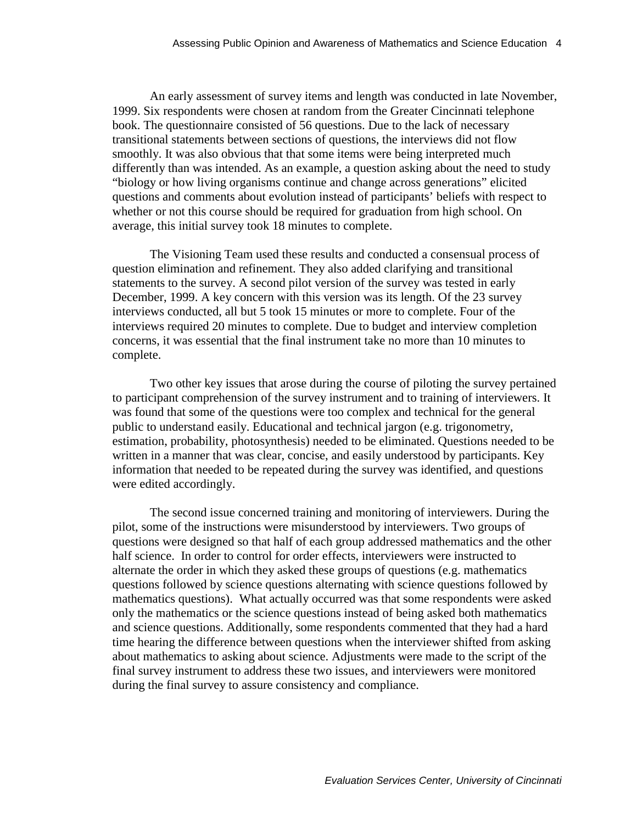An early assessment of survey items and length was conducted in late November, 1999. Six respondents were chosen at random from the Greater Cincinnati telephone book. The questionnaire consisted of 56 questions. Due to the lack of necessary transitional statements between sections of questions, the interviews did not flow smoothly. It was also obvious that that some items were being interpreted much differently than was intended. As an example, a question asking about the need to study "biology or how living organisms continue and change across generations" elicited questions and comments about evolution instead of participants' beliefs with respect to whether or not this course should be required for graduation from high school. On average, this initial survey took 18 minutes to complete.

The Visioning Team used these results and conducted a consensual process of question elimination and refinement. They also added clarifying and transitional statements to the survey. A second pilot version of the survey was tested in early December, 1999. A key concern with this version was its length. Of the 23 survey interviews conducted, all but 5 took 15 minutes or more to complete. Four of the interviews required 20 minutes to complete. Due to budget and interview completion concerns, it was essential that the final instrument take no more than 10 minutes to complete.

Two other key issues that arose during the course of piloting the survey pertained to participant comprehension of the survey instrument and to training of interviewers. It was found that some of the questions were too complex and technical for the general public to understand easily. Educational and technical jargon (e.g. trigonometry, estimation, probability, photosynthesis) needed to be eliminated. Questions needed to be written in a manner that was clear, concise, and easily understood by participants. Key information that needed to be repeated during the survey was identified, and questions were edited accordingly.

The second issue concerned training and monitoring of interviewers. During the pilot, some of the instructions were misunderstood by interviewers. Two groups of questions were designed so that half of each group addressed mathematics and the other half science. In order to control for order effects, interviewers were instructed to alternate the order in which they asked these groups of questions (e.g. mathematics questions followed by science questions alternating with science questions followed by mathematics questions). What actually occurred was that some respondents were asked only the mathematics or the science questions instead of being asked both mathematics and science questions. Additionally, some respondents commented that they had a hard time hearing the difference between questions when the interviewer shifted from asking about mathematics to asking about science. Adjustments were made to the script of the final survey instrument to address these two issues, and interviewers were monitored during the final survey to assure consistency and compliance.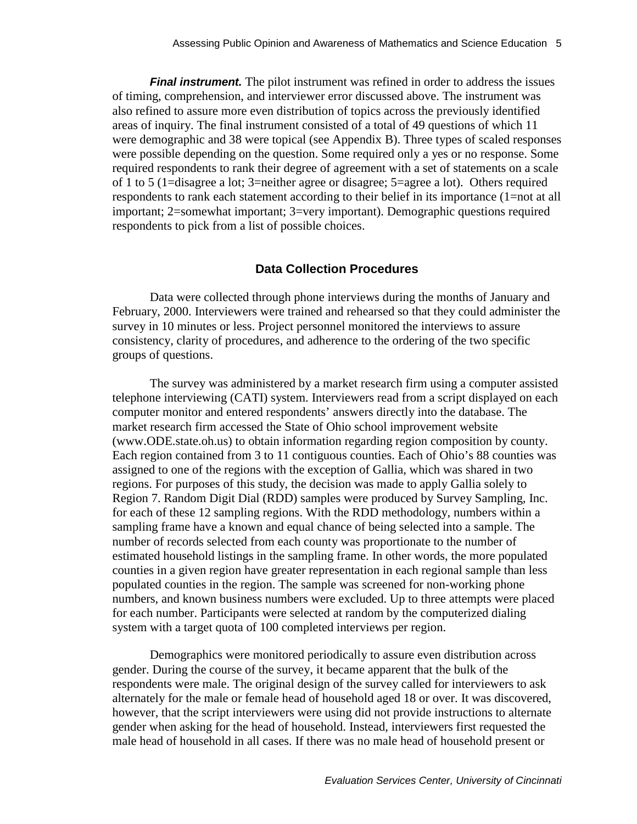<span id="page-14-0"></span>**Final instrument.** The pilot instrument was refined in order to address the issues of timing, comprehension, and interviewer error discussed above. The instrument was also refined to assure more even distribution of topics across the previously identified areas of inquiry. The final instrument consisted of a total of 49 questions of which 11 were demographic and 38 were topical (see Appendix B). Three types of scaled responses were possible depending on the question. Some required only a yes or no response. Some required respondents to rank their degree of agreement with a set of statements on a scale of 1 to 5 (1=disagree a lot; 3=neither agree or disagree; 5=agree a lot). Others required respondents to rank each statement according to their belief in its importance (1=not at all important; 2=somewhat important; 3=very important). Demographic questions required respondents to pick from a list of possible choices.

#### **Data Collection Procedures**

Data were collected through phone interviews during the months of January and February, 2000. Interviewers were trained and rehearsed so that they could administer the survey in 10 minutes or less. Project personnel monitored the interviews to assure consistency, clarity of procedures, and adherence to the ordering of the two specific groups of questions.

The survey was administered by a market research firm using a computer assisted telephone interviewing (CATI) system. Interviewers read from a script displayed on each computer monitor and entered respondents' answers directly into the database. The market research firm accessed the State of Ohio school improvement website (www.ODE.state.oh.us) to obtain information regarding region composition by county. Each region contained from 3 to 11 contiguous counties. Each of Ohio's 88 counties was assigned to one of the regions with the exception of Gallia, which was shared in two regions. For purposes of this study, the decision was made to apply Gallia solely to Region 7. Random Digit Dial (RDD) samples were produced by Survey Sampling, Inc. for each of these 12 sampling regions. With the RDD methodology, numbers within a sampling frame have a known and equal chance of being selected into a sample. The number of records selected from each county was proportionate to the number of estimated household listings in the sampling frame. In other words, the more populated counties in a given region have greater representation in each regional sample than less populated counties in the region. The sample was screened for non-working phone numbers, and known business numbers were excluded. Up to three attempts were placed for each number. Participants were selected at random by the computerized dialing system with a target quota of 100 completed interviews per region.

Demographics were monitored periodically to assure even distribution across gender. During the course of the survey, it became apparent that the bulk of the respondents were male. The original design of the survey called for interviewers to ask alternately for the male or female head of household aged 18 or over. It was discovered, however, that the script interviewers were using did not provide instructions to alternate gender when asking for the head of household. Instead, interviewers first requested the male head of household in all cases. If there was no male head of household present or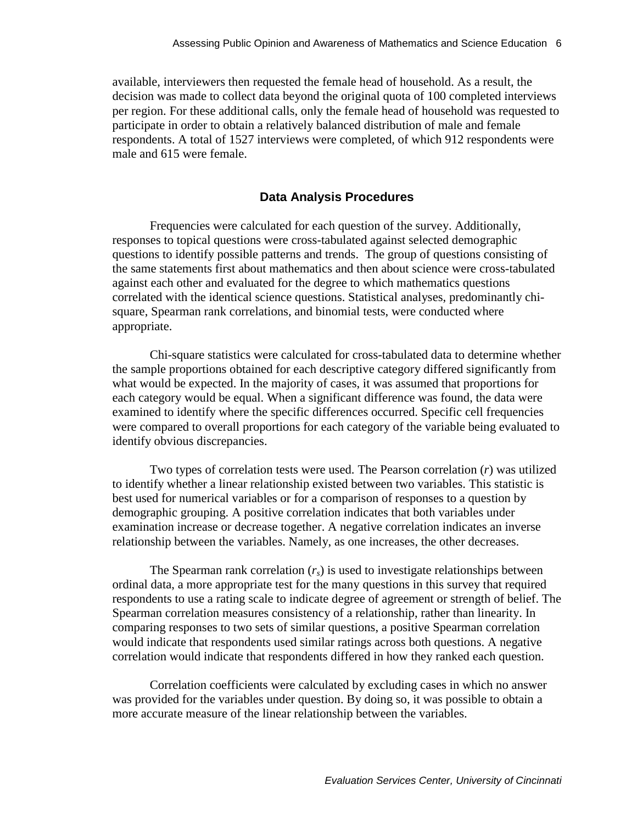<span id="page-15-0"></span>available, interviewers then requested the female head of household. As a result, the decision was made to collect data beyond the original quota of 100 completed interviews per region. For these additional calls, only the female head of household was requested to participate in order to obtain a relatively balanced distribution of male and female respondents. A total of 1527 interviews were completed, of which 912 respondents were male and 615 were female.

#### **Data Analysis Procedures**

Frequencies were calculated for each question of the survey. Additionally, responses to topical questions were cross-tabulated against selected demographic questions to identify possible patterns and trends. The group of questions consisting of the same statements first about mathematics and then about science were cross-tabulated against each other and evaluated for the degree to which mathematics questions correlated with the identical science questions. Statistical analyses, predominantly chisquare, Spearman rank correlations, and binomial tests, were conducted where appropriate.

Chi-square statistics were calculated for cross-tabulated data to determine whether the sample proportions obtained for each descriptive category differed significantly from what would be expected. In the majority of cases, it was assumed that proportions for each category would be equal. When a significant difference was found, the data were examined to identify where the specific differences occurred. Specific cell frequencies were compared to overall proportions for each category of the variable being evaluated to identify obvious discrepancies.

Two types of correlation tests were used. The Pearson correlation (*r*) was utilized to identify whether a linear relationship existed between two variables. This statistic is best used for numerical variables or for a comparison of responses to a question by demographic grouping. A positive correlation indicates that both variables under examination increase or decrease together. A negative correlation indicates an inverse relationship between the variables. Namely, as one increases, the other decreases.

The Spearman rank correlation  $(r_s)$  is used to investigate relationships between ordinal data, a more appropriate test for the many questions in this survey that required respondents to use a rating scale to indicate degree of agreement or strength of belief. The Spearman correlation measures consistency of a relationship, rather than linearity. In comparing responses to two sets of similar questions, a positive Spearman correlation would indicate that respondents used similar ratings across both questions. A negative correlation would indicate that respondents differed in how they ranked each question.

Correlation coefficients were calculated by excluding cases in which no answer was provided for the variables under question. By doing so, it was possible to obtain a more accurate measure of the linear relationship between the variables.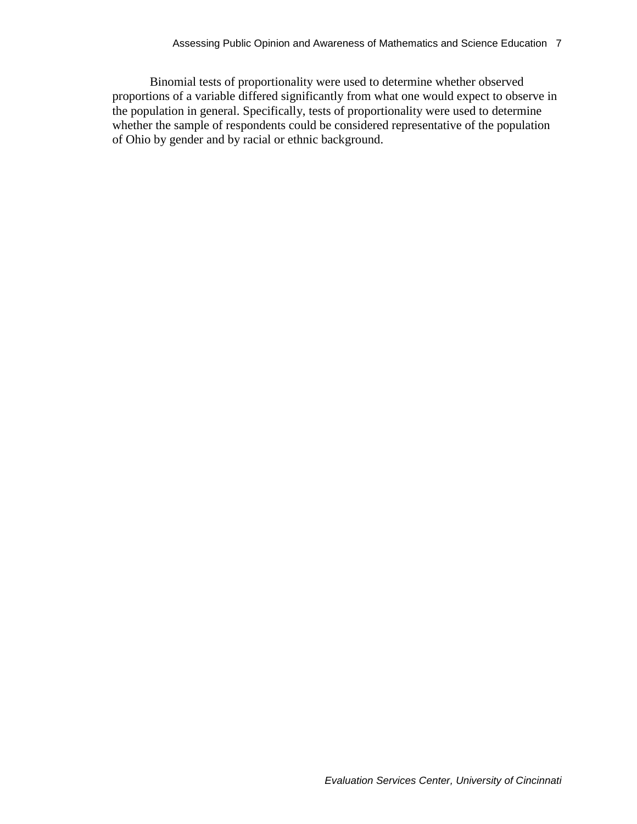Binomial tests of proportionality were used to determine whether observed proportions of a variable differed significantly from what one would expect to observe in the population in general. Specifically, tests of proportionality were used to determine whether the sample of respondents could be considered representative of the population of Ohio by gender and by racial or ethnic background.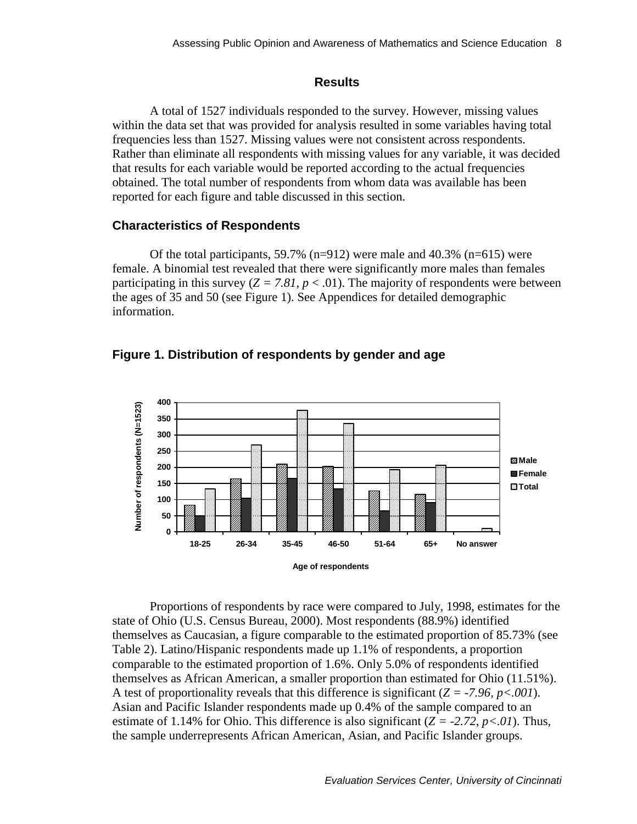#### **Results**

<span id="page-17-0"></span>A total of 1527 individuals responded to the survey. However, missing values within the data set that was provided for analysis resulted in some variables having total frequencies less than 1527. Missing values were not consistent across respondents. Rather than eliminate all respondents with missing values for any variable, it was decided that results for each variable would be reported according to the actual frequencies obtained. The total number of respondents from whom data was available has been reported for each figure and table discussed in this section.

#### **Characteristics of Respondents**

Of the total participants, 59.7% (n=912) were male and 40.3% (n=615) were female. A binomial test revealed that there were significantly more males than females participating in this survey  $(Z = 7.81, p < .01)$ . The majority of respondents were between the ages of 35 and 50 (see Figure 1). See Appendices for detailed demographic information.





Proportions of respondents by race were compared to July, 1998, estimates for the state of Ohio (U.S. Census Bureau, 2000). Most respondents (88.9%) identified themselves as Caucasian, a figure comparable to the estimated proportion of 85.73% (see Table 2). Latino/Hispanic respondents made up 1.1% of respondents, a proportion comparable to the estimated proportion of 1.6%. Only 5.0% of respondents identified themselves as African American, a smaller proportion than estimated for Ohio (11.51%). A test of proportionality reveals that this difference is significant  $(Z = -7.96, p < .001)$ . Asian and Pacific Islander respondents made up 0.4% of the sample compared to an estimate of 1.14% for Ohio. This difference is also significant  $(Z = -2.72, p < 0.01)$ . Thus, the sample underrepresents African American, Asian, and Pacific Islander groups.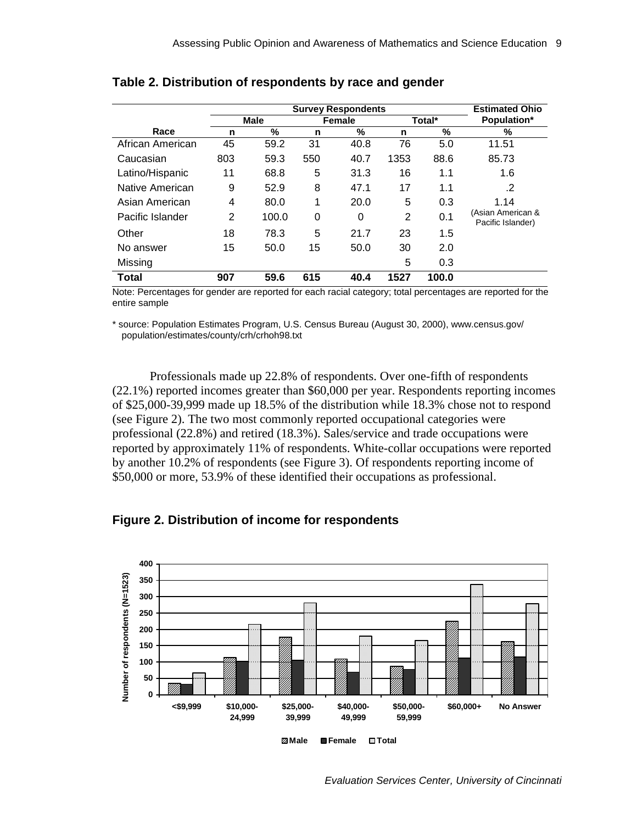|                  |                | <b>Estimated Ohio</b> |                  |      |                |       |                                        |
|------------------|----------------|-----------------------|------------------|------|----------------|-------|----------------------------------------|
|                  |                | <b>Male</b>           | Total*<br>Female |      |                |       | Population*                            |
| Race             | n              | %                     | n                | %    | n              | %     | %                                      |
| African American | 45             | 59.2                  | 31               | 40.8 | 76             | 5.0   | 11.51                                  |
| Caucasian        | 803            | 59.3                  | 550              | 40.7 | 1353           | 88.6  | 85.73                                  |
| Latino/Hispanic  | 11             | 68.8                  | 5                | 31.3 | 16             | 1.1   | 1.6                                    |
| Native American  | 9              | 52.9                  | 8                | 47.1 | 17             | 1.1   | .2                                     |
| Asian American   | 4              | 80.0                  | 1                | 20.0 | 5              | 0.3   | 1.14                                   |
| Pacific Islander | $\overline{2}$ | 100.0                 | 0                | 0    | $\overline{2}$ | 0.1   | (Asian American &<br>Pacific Islander) |
| Other            | 18             | 78.3                  | 5                | 21.7 | 23             | 1.5   |                                        |
| No answer        | 15             | 50.0                  | 15               | 50.0 | 30             | 2.0   |                                        |
| Missing          |                |                       |                  |      | 5              | 0.3   |                                        |
| Total            | 907            | 59.6                  | 615              | 40.4 | 1527           | 100.0 |                                        |

#### <span id="page-18-0"></span>**Table 2. Distribution of respondents by race and gender**

Note: Percentages for gender are reported for each racial category; total percentages are reported for the entire sample

\* source: Population Estimates Program, U.S. Census Bureau (August 30, 2000), www.census.gov/ population/estimates/county/crh/crhoh98.txt

Professionals made up 22.8% of respondents. Over one-fifth of respondents (22.1%) reported incomes greater than \$60,000 per year. Respondents reporting incomes of \$25,000-39,999 made up 18.5% of the distribution while 18.3% chose not to respond (see Figure 2). The two most commonly reported occupational categories were professional (22.8%) and retired (18.3%). Sales/service and trade occupations were reported by approximately 11% of respondents. White-collar occupations were reported by another 10.2% of respondents (see Figure 3). Of respondents reporting income of \$50,000 or more, 53.9% of these identified their occupations as professional.





*Evaluation Services Center, University of Cincinnati*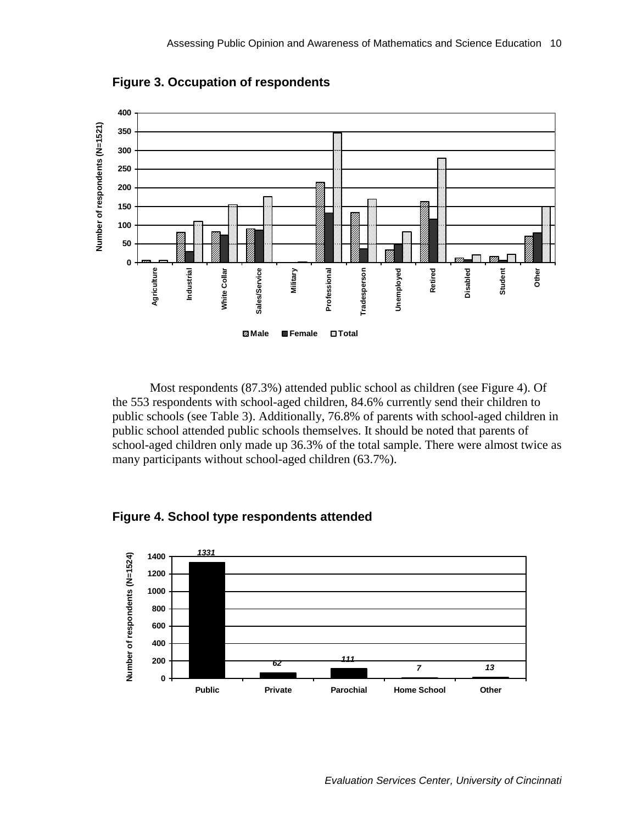<span id="page-19-0"></span>

**Figure 3. Occupation of respondents** 

Most respondents (87.3%) attended public school as children (see Figure 4). Of the 553 respondents with school-aged children, 84.6% currently send their children to public schools (see Table 3). Additionally, 76.8% of parents with school-aged children in public school attended public schools themselves. It should be noted that parents of school-aged children only made up 36.3% of the total sample. There were almost twice as many participants without school-aged children (63.7%).

#### **Figure 4. School type respondents attended**

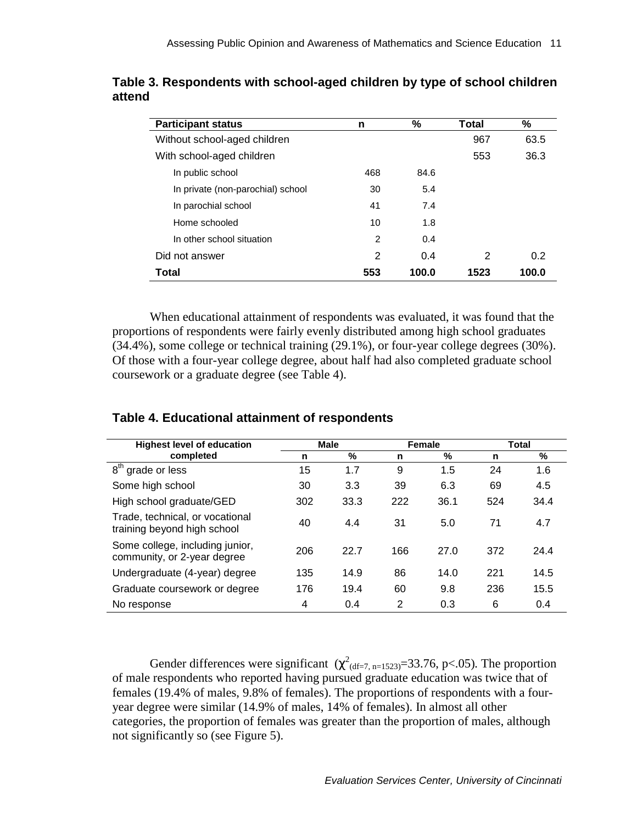| <b>Participant status</b>         | n   | %     | Total | %     |
|-----------------------------------|-----|-------|-------|-------|
| Without school-aged children      |     |       | 967   | 63.5  |
| With school-aged children         |     |       | 553   | 36.3  |
| In public school                  | 468 | 84.6  |       |       |
| In private (non-parochial) school | 30  | 5.4   |       |       |
| In parochial school               | 41  | 7.4   |       |       |
| Home schooled                     | 10  | 1.8   |       |       |
| In other school situation         | 2   | 0.4   |       |       |
| Did not answer                    | 2   | 0.4   | 2     | 0.2   |
| Total                             | 553 | 100.0 | 1523  | 100.0 |

<span id="page-20-0"></span>**Table 3. Respondents with school-aged children by type of school children attend** 

When educational attainment of respondents was evaluated, it was found that the proportions of respondents were fairly evenly distributed among high school graduates (34.4%), some college or technical training (29.1%), or four-year college degrees (30%). Of those with a four-year college degree, about half had also completed graduate school coursework or a graduate degree (see Table 4).

| <b>Highest level of education</b>                              |     | <b>Male</b> |     | Female |     | Total |
|----------------------------------------------------------------|-----|-------------|-----|--------|-----|-------|
| completed                                                      | n   | $\%$        | n   | %      | n   | %     |
| $8^{\text{th}}$<br>grade or less                               | 15  | 1.7         | 9   | 1.5    | 24  | 1.6   |
| Some high school                                               | 30  | 3.3         | 39  | 6.3    | 69  | 4.5   |
| High school graduate/GED                                       | 302 | 33.3        | 222 | 36.1   | 524 | 34.4  |
| Trade, technical, or vocational<br>training beyond high school | 40  | 4.4         | 31  | 5.0    | 71  | 4.7   |
| Some college, including junior,<br>community, or 2-year degree | 206 | 22.7        | 166 | 27.0   | 372 | 24.4  |
| Undergraduate (4-year) degree                                  | 135 | 14.9        | 86  | 14.0   | 221 | 14.5  |
| Graduate coursework or degree                                  | 176 | 19.4        | 60  | 9.8    | 236 | 15.5  |
| No response                                                    | 4   | 0.4         | 2   | 0.3    | 6   | 0.4   |

# **Table 4. Educational attainment of respondents**

Gender differences were significant  $(\chi^2_{\text{(df=7, n=1523)}}=33.76, p<.05)$ . The proportion of male respondents who reported having pursued graduate education was twice that of females (19.4% of males, 9.8% of females). The proportions of respondents with a fouryear degree were similar (14.9% of males, 14% of females). In almost all other categories, the proportion of females was greater than the proportion of males, although not significantly so (see Figure 5).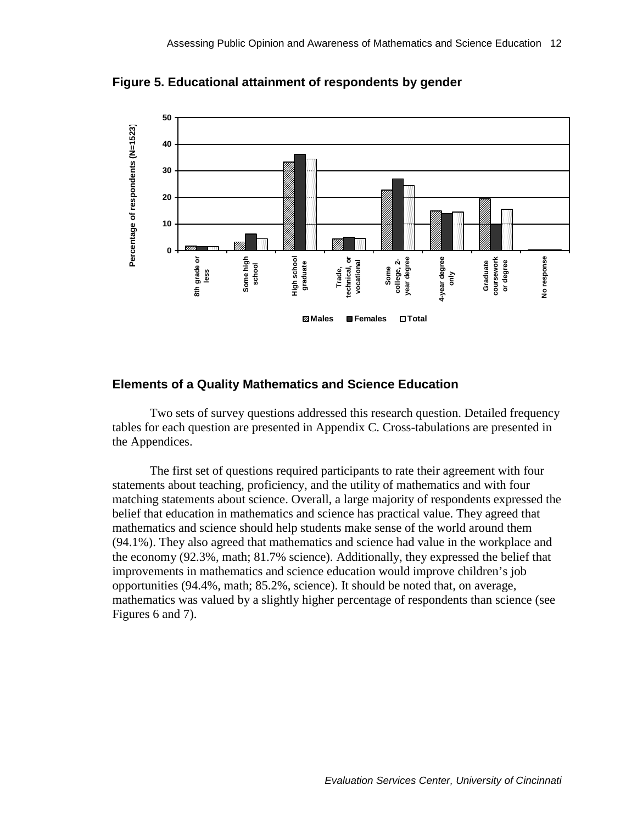

<span id="page-21-0"></span>**Figure 5. Educational attainment of respondents by gender** 

#### **Elements of a Quality Mathematics and Science Education**

Two sets of survey questions addressed this research question. Detailed frequency tables for each question are presented in Appendix C. Cross-tabulations are presented in the Appendices.

The first set of questions required participants to rate their agreement with four statements about teaching, proficiency, and the utility of mathematics and with four matching statements about science. Overall, a large majority of respondents expressed the belief that education in mathematics and science has practical value. They agreed that mathematics and science should help students make sense of the world around them (94.1%). They also agreed that mathematics and science had value in the workplace and the economy (92.3%, math; 81.7% science). Additionally, they expressed the belief that improvements in mathematics and science education would improve children's job opportunities (94.4%, math; 85.2%, science). It should be noted that, on average, mathematics was valued by a slightly higher percentage of respondents than science (see Figures 6 and 7).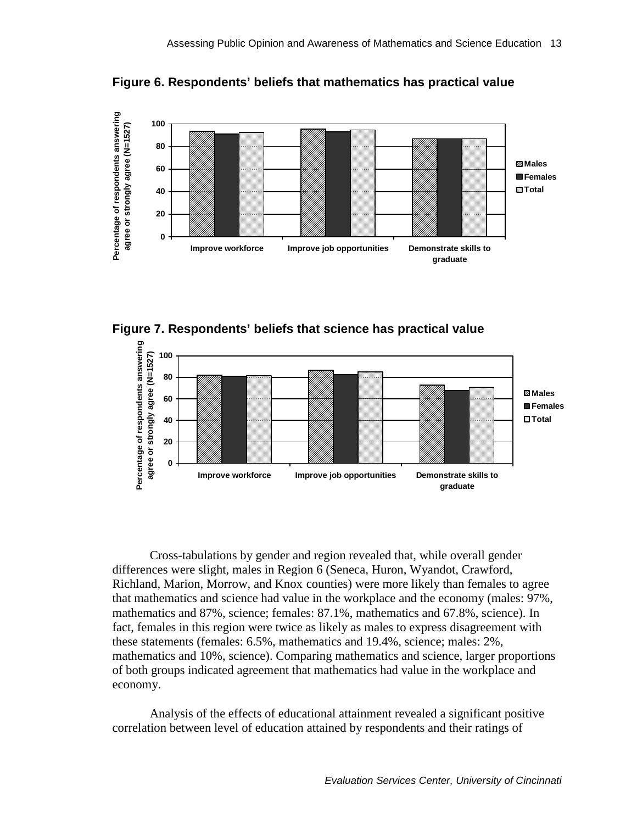<span id="page-22-0"></span>

**Figure 6. Respondents' beliefs that mathematics has practical value** 





Cross-tabulations by gender and region revealed that, while overall gender differences were slight, males in Region 6 (Seneca, Huron, Wyandot, Crawford, Richland, Marion, Morrow, and Knox counties) were more likely than females to agree that mathematics and science had value in the workplace and the economy (males: 97%, mathematics and 87%, science; females: 87.1%, mathematics and 67.8%, science). In fact, females in this region were twice as likely as males to express disagreement with these statements (females: 6.5%, mathematics and 19.4%, science; males: 2%, mathematics and 10%, science). Comparing mathematics and science, larger proportions of both groups indicated agreement that mathematics had value in the workplace and economy.

Analysis of the effects of educational attainment revealed a significant positive correlation between level of education attained by respondents and their ratings of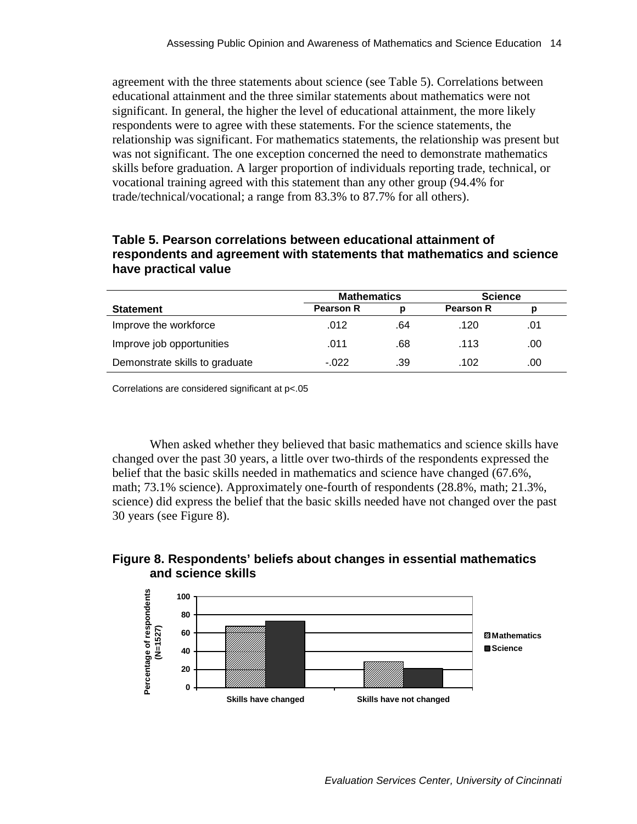<span id="page-23-0"></span>agreement with the three statements about science (see Table 5). Correlations between educational attainment and the three similar statements about mathematics were not significant. In general, the higher the level of educational attainment, the more likely respondents were to agree with these statements. For the science statements, the relationship was significant. For mathematics statements, the relationship was present but was not significant. The one exception concerned the need to demonstrate mathematics skills before graduation. A larger proportion of individuals reporting trade, technical, or vocational training agreed with this statement than any other group (94.4% for trade/technical/vocational; a range from 83.3% to 87.7% for all others).

### **Table 5. Pearson correlations between educational attainment of respondents and agreement with statements that mathematics and science have practical value**

|                                | <b>Mathematics</b> |     | <b>Science</b> |     |
|--------------------------------|--------------------|-----|----------------|-----|
| <b>Statement</b>               | <b>Pearson R</b>   |     |                |     |
| Improve the workforce          | .012               | .64 | .120           | .01 |
| Improve job opportunities      | .011               | .68 | .113           | .00 |
| Demonstrate skills to graduate | $-022$             | .39 | .102           | .00 |

Correlations are considered significant at p<.05

When asked whether they believed that basic mathematics and science skills have changed over the past 30 years, a little over two-thirds of the respondents expressed the belief that the basic skills needed in mathematics and science have changed (67.6%, math; 73.1% science). Approximately one-fourth of respondents (28.8%, math; 21.3%, science) did express the belief that the basic skills needed have not changed over the past 30 years (see Figure 8).

### **Figure 8. Respondents' beliefs about changes in essential mathematics and science skills**

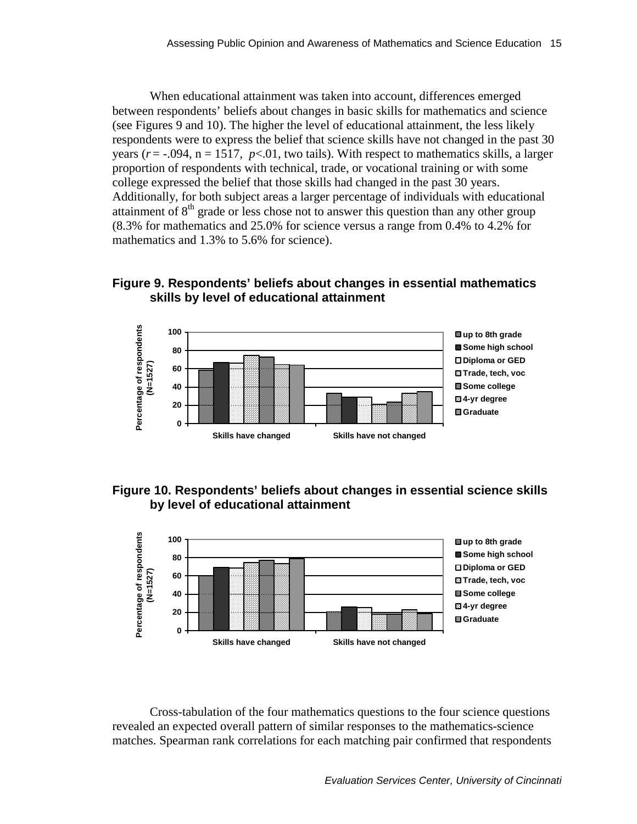<span id="page-24-0"></span>When educational attainment was taken into account, differences emerged between respondents' beliefs about changes in basic skills for mathematics and science (see Figures 9 and 10). The higher the level of educational attainment, the less likely respondents were to express the belief that science skills have not changed in the past 30 years ( $r = -0.094$ ,  $n = 1517$ ,  $p < 0.01$ , two tails). With respect to mathematics skills, a larger proportion of respondents with technical, trade, or vocational training or with some college expressed the belief that those skills had changed in the past 30 years. Additionally, for both subject areas a larger percentage of individuals with educational attainment of  $8<sup>th</sup>$  grade or less chose not to answer this question than any other group (8.3% for mathematics and 25.0% for science versus a range from 0.4% to 4.2% for mathematics and 1.3% to 5.6% for science).

### **Figure 9. Respondents' beliefs about changes in essential mathematics skills by level of educational attainment**



### **Figure 10. Respondents' beliefs about changes in essential science skills by level of educational attainment**



Cross-tabulation of the four mathematics questions to the four science questions revealed an expected overall pattern of similar responses to the mathematics-science matches. Spearman rank correlations for each matching pair confirmed that respondents

*Evaluation Services Center, University of Cincinnati*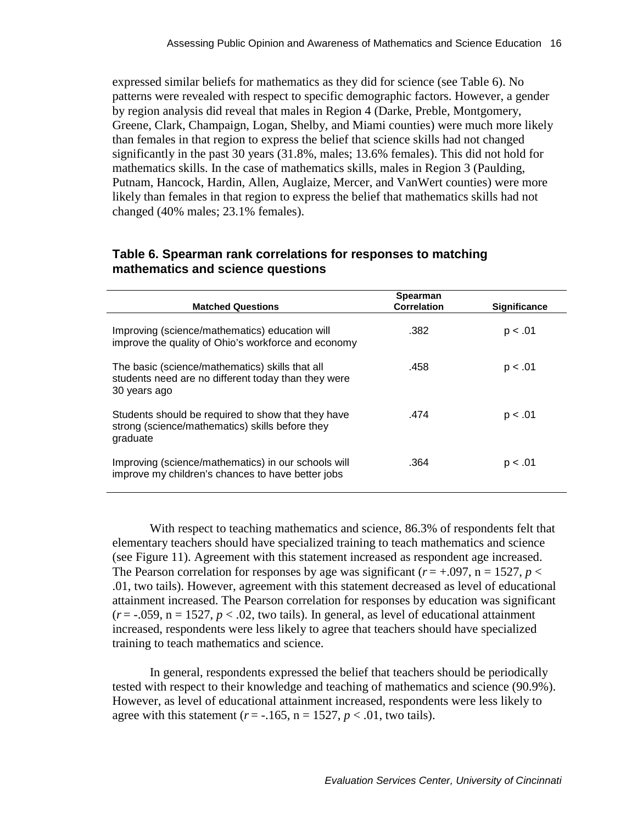<span id="page-25-0"></span>expressed similar beliefs for mathematics as they did for science (see Table 6). No patterns were revealed with respect to specific demographic factors. However, a gender by region analysis did reveal that males in Region 4 (Darke, Preble, Montgomery, Greene, Clark, Champaign, Logan, Shelby, and Miami counties) were much more likely than females in that region to express the belief that science skills had not changed significantly in the past 30 years (31.8%, males; 13.6% females). This did not hold for mathematics skills. In the case of mathematics skills, males in Region 3 (Paulding, Putnam, Hancock, Hardin, Allen, Auglaize, Mercer, and VanWert counties) were more likely than females in that region to express the belief that mathematics skills had not changed (40% males; 23.1% females).

| <b>Matched Questions</b>                                                                                               | Spearman<br><b>Correlation</b> | <b>Significance</b> |
|------------------------------------------------------------------------------------------------------------------------|--------------------------------|---------------------|
| Improving (science/mathematics) education will<br>improve the quality of Ohio's workforce and economy                  | .382                           | p < .01             |
| The basic (science/mathematics) skills that all<br>students need are no different today than they were<br>30 years ago | .458                           | p < .01             |
| Students should be required to show that they have<br>strong (science/mathematics) skills before they<br>graduate      | .474                           | p < .01             |
| Improving (science/mathematics) in our schools will<br>improve my children's chances to have better jobs               | .364                           | p < .01             |

### **Table 6. Spearman rank correlations for responses to matching mathematics and science questions**

With respect to teaching mathematics and science, 86.3% of respondents felt that elementary teachers should have specialized training to teach mathematics and science (see Figure 11). Agreement with this statement increased as respondent age increased. The Pearson correlation for responses by age was significant ( $r = +0.097$ ,  $n = 1527$ ,  $p <$ .01, two tails). However, agreement with this statement decreased as level of educational attainment increased. The Pearson correlation for responses by education was significant  $(r = -0.059, n = 1527, p < 0.02$ , two tails). In general, as level of educational attainment increased, respondents were less likely to agree that teachers should have specialized training to teach mathematics and science.

In general, respondents expressed the belief that teachers should be periodically tested with respect to their knowledge and teaching of mathematics and science (90.9%). However, as level of educational attainment increased, respondents were less likely to agree with this statement  $(r = -.165, n = 1527, p < .01$ , two tails).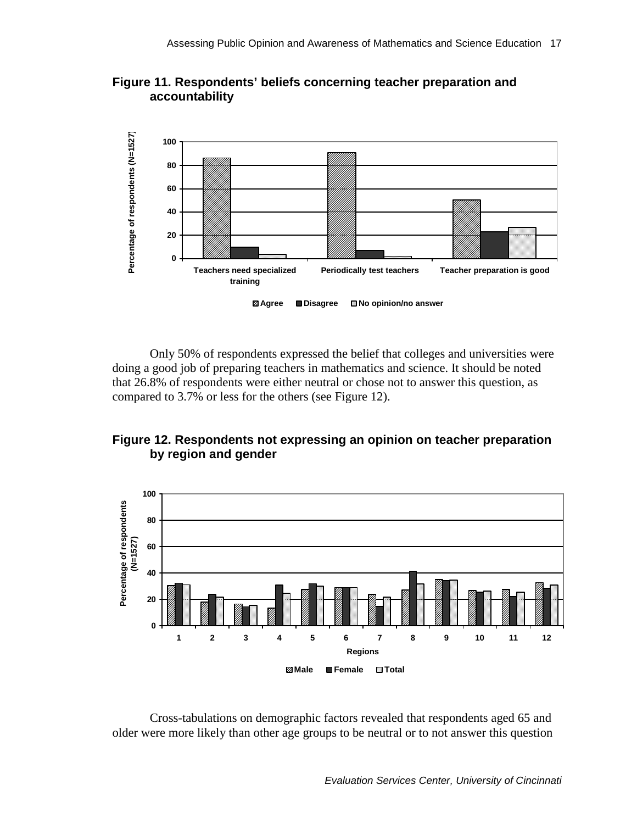<span id="page-26-0"></span>



Only 50% of respondents expressed the belief that colleges and universities were doing a good job of preparing teachers in mathematics and science. It should be noted that 26.8% of respondents were either neutral or chose not to answer this question, as compared to 3.7% or less for the others (see Figure 12).





Cross-tabulations on demographic factors revealed that respondents aged 65 and older were more likely than other age groups to be neutral or to not answer this question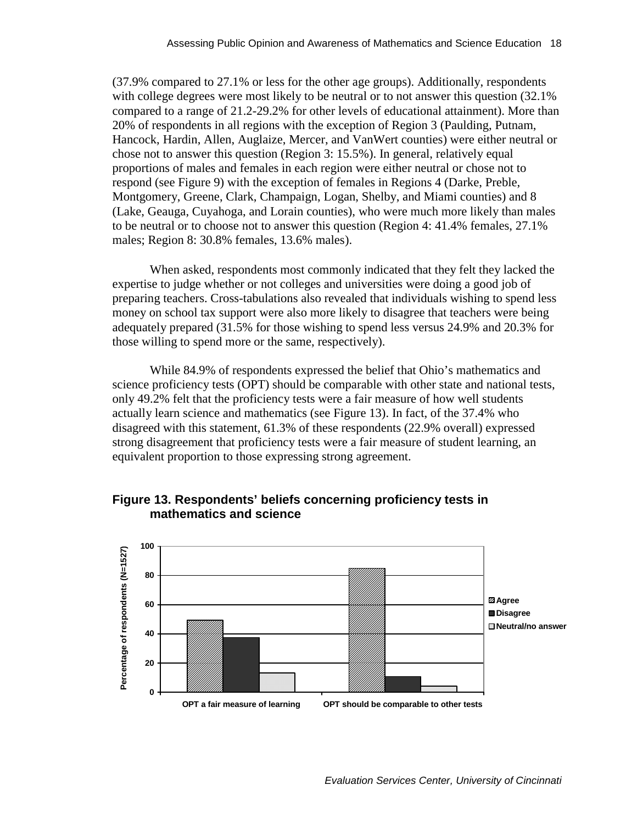<span id="page-27-0"></span>(37.9% compared to 27.1% or less for the other age groups). Additionally, respondents with college degrees were most likely to be neutral or to not answer this question  $(32.1\%)$ compared to a range of 21.2-29.2% for other levels of educational attainment). More than 20% of respondents in all regions with the exception of Region 3 (Paulding, Putnam, Hancock, Hardin, Allen, Auglaize, Mercer, and VanWert counties) were either neutral or chose not to answer this question (Region 3: 15.5%). In general, relatively equal proportions of males and females in each region were either neutral or chose not to respond (see Figure 9) with the exception of females in Regions 4 (Darke, Preble, Montgomery, Greene, Clark, Champaign, Logan, Shelby, and Miami counties) and 8 (Lake, Geauga, Cuyahoga, and Lorain counties), who were much more likely than males to be neutral or to choose not to answer this question (Region 4: 41.4% females, 27.1% males; Region 8: 30.8% females, 13.6% males).

When asked, respondents most commonly indicated that they felt they lacked the expertise to judge whether or not colleges and universities were doing a good job of preparing teachers. Cross-tabulations also revealed that individuals wishing to spend less money on school tax support were also more likely to disagree that teachers were being adequately prepared (31.5% for those wishing to spend less versus 24.9% and 20.3% for those willing to spend more or the same, respectively).

While 84.9% of respondents expressed the belief that Ohio's mathematics and science proficiency tests (OPT) should be comparable with other state and national tests, only 49.2% felt that the proficiency tests were a fair measure of how well students actually learn science and mathematics (see Figure 13). In fact, of the 37.4% who disagreed with this statement, 61.3% of these respondents (22.9% overall) expressed strong disagreement that proficiency tests were a fair measure of student learning, an equivalent proportion to those expressing strong agreement.



### **Figure 13. Respondents' beliefs concerning proficiency tests in mathematics and science**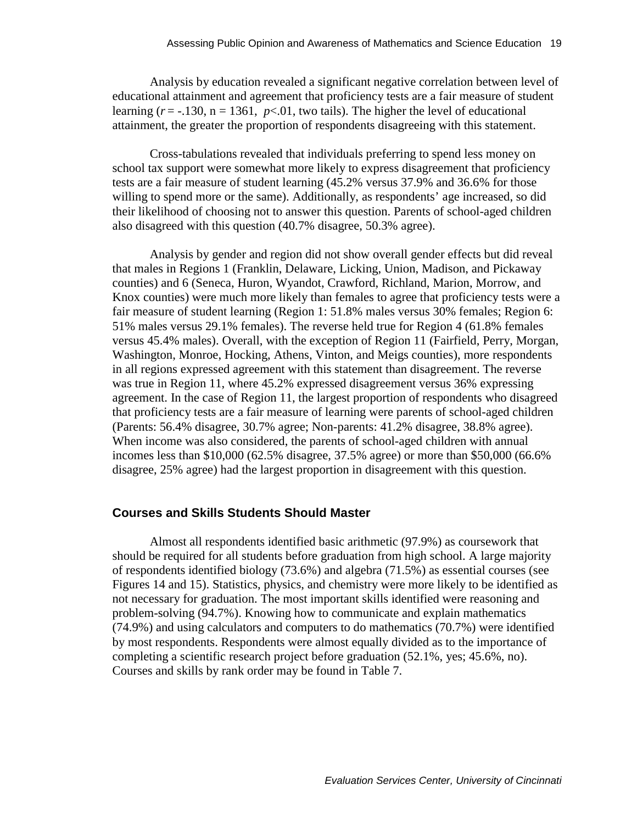<span id="page-28-0"></span>Analysis by education revealed a significant negative correlation between level of educational attainment and agreement that proficiency tests are a fair measure of student learning  $(r = -.130, n = 1361, p < .01,$  two tails). The higher the level of educational attainment, the greater the proportion of respondents disagreeing with this statement.

Cross-tabulations revealed that individuals preferring to spend less money on school tax support were somewhat more likely to express disagreement that proficiency tests are a fair measure of student learning (45.2% versus 37.9% and 36.6% for those willing to spend more or the same). Additionally, as respondents' age increased, so did their likelihood of choosing not to answer this question. Parents of school-aged children also disagreed with this question (40.7% disagree, 50.3% agree).

Analysis by gender and region did not show overall gender effects but did reveal that males in Regions 1 (Franklin, Delaware, Licking, Union, Madison, and Pickaway counties) and 6 (Seneca, Huron, Wyandot, Crawford, Richland, Marion, Morrow, and Knox counties) were much more likely than females to agree that proficiency tests were a fair measure of student learning (Region 1: 51.8% males versus 30% females; Region 6: 51% males versus 29.1% females). The reverse held true for Region 4 (61.8% females versus 45.4% males). Overall, with the exception of Region 11 (Fairfield, Perry, Morgan, Washington, Monroe, Hocking, Athens, Vinton, and Meigs counties), more respondents in all regions expressed agreement with this statement than disagreement. The reverse was true in Region 11, where 45.2% expressed disagreement versus 36% expressing agreement. In the case of Region 11, the largest proportion of respondents who disagreed that proficiency tests are a fair measure of learning were parents of school-aged children (Parents: 56.4% disagree, 30.7% agree; Non-parents: 41.2% disagree, 38.8% agree). When income was also considered, the parents of school-aged children with annual incomes less than \$10,000 (62.5% disagree, 37.5% agree) or more than \$50,000 (66.6% disagree, 25% agree) had the largest proportion in disagreement with this question.

#### **Courses and Skills Students Should Master**

Almost all respondents identified basic arithmetic (97.9%) as coursework that should be required for all students before graduation from high school. A large majority of respondents identified biology (73.6%) and algebra (71.5%) as essential courses (see Figures 14 and 15). Statistics, physics, and chemistry were more likely to be identified as not necessary for graduation. The most important skills identified were reasoning and problem-solving (94.7%). Knowing how to communicate and explain mathematics (74.9%) and using calculators and computers to do mathematics (70.7%) were identified by most respondents. Respondents were almost equally divided as to the importance of completing a scientific research project before graduation (52.1%, yes; 45.6%, no). Courses and skills by rank order may be found in Table 7.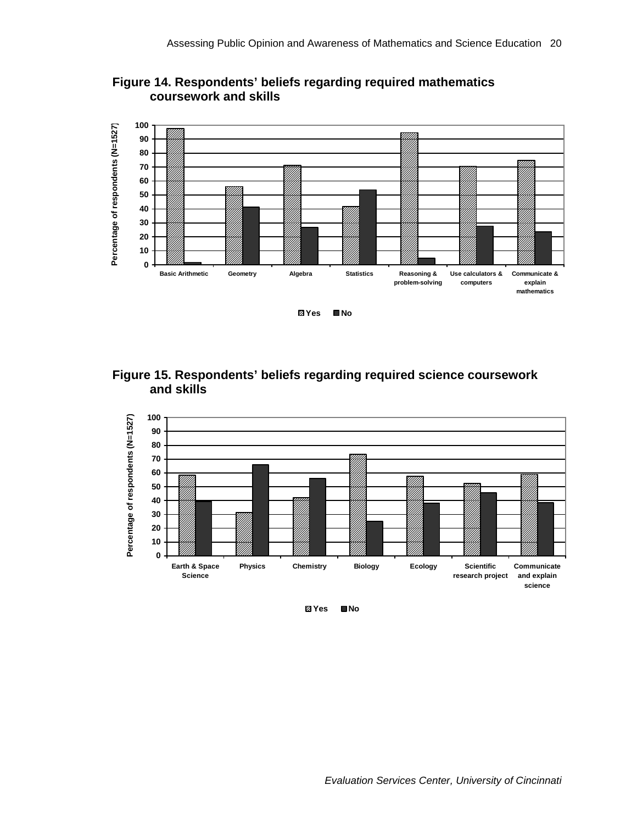

<span id="page-29-0"></span>**Figure 14. Respondents' beliefs regarding required mathematics coursework and skills** 





**Yes No**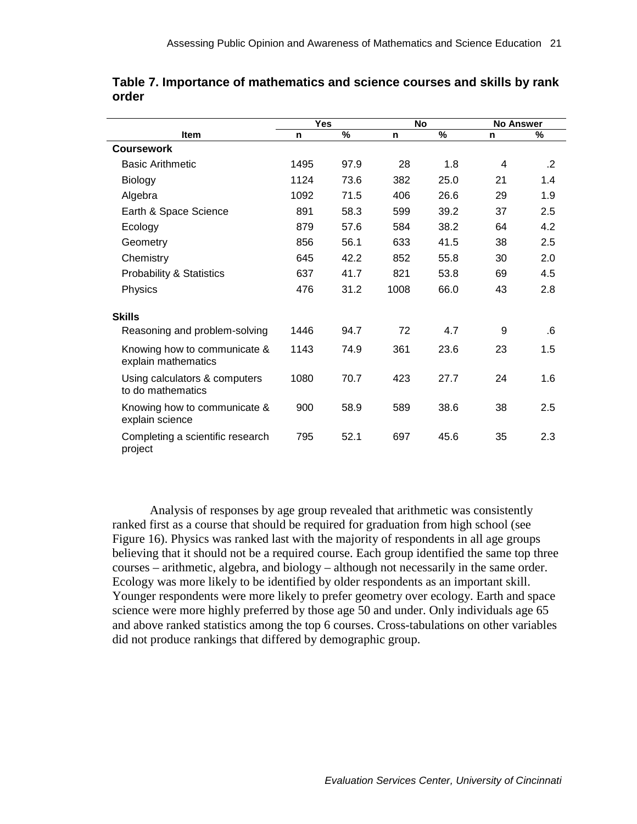|                                                     | <b>Yes</b> |      | <b>No</b> |      | <b>No Answer</b> |            |
|-----------------------------------------------------|------------|------|-----------|------|------------------|------------|
| <b>Item</b>                                         | n          | $\%$ | n         | $\%$ | n                | $\%$       |
| <b>Coursework</b>                                   |            |      |           |      |                  |            |
| <b>Basic Arithmetic</b>                             | 1495       | 97.9 | 28        | 1.8  | 4                | $\cdot$ .2 |
| <b>Biology</b>                                      | 1124       | 73.6 | 382       | 25.0 | 21               | 1.4        |
| Algebra                                             | 1092       | 71.5 | 406       | 26.6 | 29               | 1.9        |
| Earth & Space Science                               | 891        | 58.3 | 599       | 39.2 | 37               | 2.5        |
| Ecology                                             | 879        | 57.6 | 584       | 38.2 | 64               | 4.2        |
| Geometry                                            | 856        | 56.1 | 633       | 41.5 | 38               | 2.5        |
| Chemistry                                           | 645        | 42.2 | 852       | 55.8 | 30               | 2.0        |
| <b>Probability &amp; Statistics</b>                 | 637        | 41.7 | 821       | 53.8 | 69               | 4.5        |
| Physics                                             | 476        | 31.2 | 1008      | 66.0 | 43               | 2.8        |
| <b>Skills</b>                                       |            |      |           |      |                  |            |
| Reasoning and problem-solving                       | 1446       | 94.7 | 72        | 4.7  | 9                | .6         |
| Knowing how to communicate &<br>explain mathematics | 1143       | 74.9 | 361       | 23.6 | 23               | 1.5        |
| Using calculators & computers<br>to do mathematics  | 1080       | 70.7 | 423       | 27.7 | 24               | 1.6        |
| Knowing how to communicate &<br>explain science     | 900        | 58.9 | 589       | 38.6 | 38               | 2.5        |
| Completing a scientific research<br>project         | 795        | 52.1 | 697       | 45.6 | 35               | 2.3        |

<span id="page-30-0"></span>**Table 7. Importance of mathematics and science courses and skills by rank order** 

Analysis of responses by age group revealed that arithmetic was consistently ranked first as a course that should be required for graduation from high school (see Figure 16). Physics was ranked last with the majority of respondents in all age groups believing that it should not be a required course. Each group identified the same top three courses – arithmetic, algebra, and biology – although not necessarily in the same order. Ecology was more likely to be identified by older respondents as an important skill. Younger respondents were more likely to prefer geometry over ecology. Earth and space science were more highly preferred by those age 50 and under. Only individuals age 65 and above ranked statistics among the top 6 courses. Cross-tabulations on other variables did not produce rankings that differed by demographic group.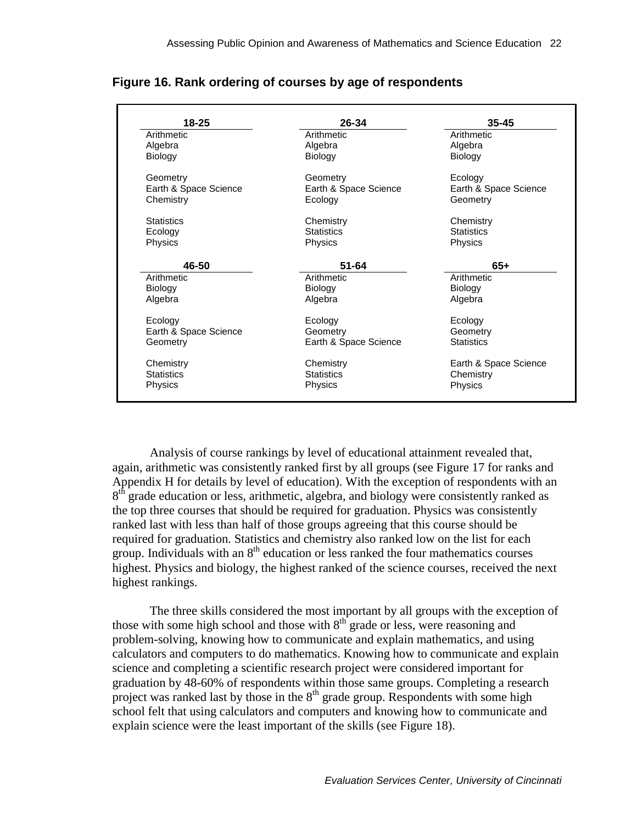| $18 - 25$             | 26-34                 | 35-45                 |
|-----------------------|-----------------------|-----------------------|
| Arithmetic            | Arithmetic            | Arithmetic            |
| Algebra               | Algebra               | Algebra               |
| <b>Biology</b>        | <b>Biology</b>        | Biology               |
| Geometry              | Geometry              | Ecology               |
| Earth & Space Science | Earth & Space Science | Earth & Space Science |
| Chemistry             | Ecology               | Geometry              |
| <b>Statistics</b>     | Chemistry             | Chemistry             |
| Ecology               | <b>Statistics</b>     | <b>Statistics</b>     |
| Physics               | Physics               | Physics               |
| 46-50                 | $51 - 64$             | $65+$                 |
| Arithmetic            | Arithmetic            | Arithmetic            |
| <b>Biology</b>        | Biology               | Biology               |
| Algebra               | Algebra               | Algebra               |
| Ecology               | Ecology               | Ecology               |
| Earth & Space Science | Geometry              | Geometry              |
| Geometry              | Earth & Space Science | <b>Statistics</b>     |
| Chemistry             | Chemistry             | Earth & Space Science |
| <b>Statistics</b>     | <b>Statistics</b>     | Chemistry             |
|                       |                       |                       |

<span id="page-31-0"></span>**Figure 16. Rank ordering of courses by age of respondents** 

Analysis of course rankings by level of educational attainment revealed that, again, arithmetic was consistently ranked first by all groups (see Figure 17 for ranks and Appendix H for details by level of education). With the exception of respondents with an  $8<sup>th</sup>$  grade education or less, arithmetic, algebra, and biology were consistently ranked as the top three courses that should be required for graduation. Physics was consistently ranked last with less than half of those groups agreeing that this course should be required for graduation. Statistics and chemistry also ranked low on the list for each group. Individuals with an  $8<sup>th</sup>$  education or less ranked the four mathematics courses highest. Physics and biology, the highest ranked of the science courses, received the next highest rankings.

The three skills considered the most important by all groups with the exception of those with some high school and those with  $8<sup>th</sup>$  grade or less, were reasoning and problem-solving, knowing how to communicate and explain mathematics, and using calculators and computers to do mathematics. Knowing how to communicate and explain science and completing a scientific research project were considered important for graduation by 48-60% of respondents within those same groups. Completing a research project was ranked last by those in the  $8<sup>th</sup>$  grade group. Respondents with some high school felt that using calculators and computers and knowing how to communicate and explain science were the least important of the skills (see Figure 18).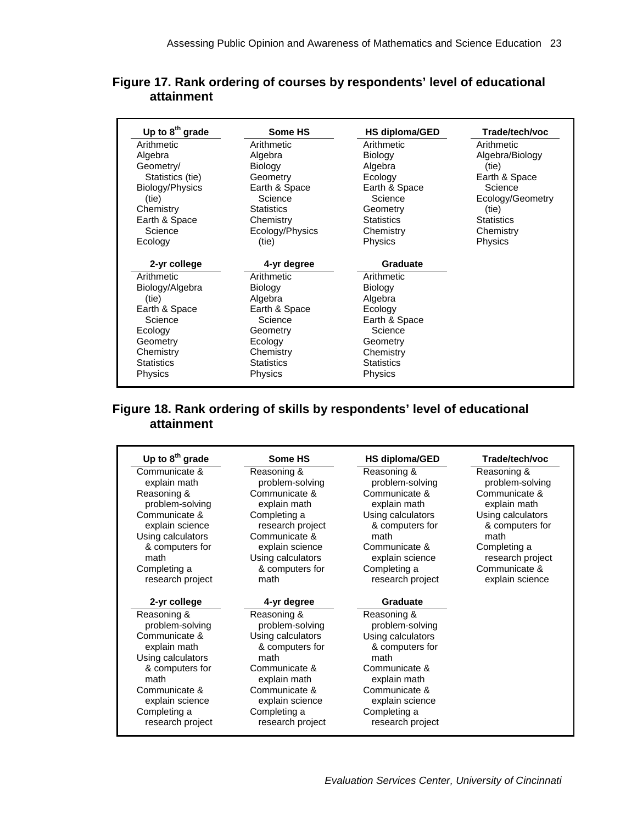<span id="page-32-0"></span>

| Figure 17. Rank ordering of courses by respondents' level of educational |  |
|--------------------------------------------------------------------------|--|
| attainment                                                               |  |

| Up to $8^{th}$ grade | Some HS           | HS diploma/GED    | Trade/tech/voc    |
|----------------------|-------------------|-------------------|-------------------|
| Arithmetic           | Arithmetic        | Arithmetic        | Arithmetic        |
| Algebra              | Algebra           | <b>Biology</b>    | Algebra/Biology   |
| Geometry/            | <b>Biology</b>    | Algebra           | (tie)             |
| Statistics (tie)     | Geometry          | Ecology           | Earth & Space     |
| Biology/Physics      | Earth & Space     | Earth & Space     | Science           |
| (tie)                | Science           | Science           | Ecology/Geometry  |
| Chemistry            | <b>Statistics</b> | Geometry          | (tie)             |
| Earth & Space        | Chemistry         | <b>Statistics</b> | <b>Statistics</b> |
| Science              | Ecology/Physics   | Chemistry         | Chemistry         |
| Ecology              | (tie)             | <b>Physics</b>    | Physics           |
| 2-yr college         | 4-yr degree       | <b>Graduate</b>   |                   |
| Arithmetic           | Arithmetic        | Arithmetic        |                   |
| Biology/Algebra      | <b>Biology</b>    | <b>Biology</b>    |                   |
| (tie)                | Algebra           | Algebra           |                   |
| Earth & Space        | Earth & Space     | Ecology           |                   |
| Science              | Science           | Earth & Space     |                   |
| Ecology              | Geometry          | Science           |                   |
| Geometry             | Ecology           | Geometry          |                   |
| Chemistry            | Chemistry         | Chemistry         |                   |
| <b>Statistics</b>    | <b>Statistics</b> | <b>Statistics</b> |                   |
| Physics              | <b>Physics</b>    | <b>Physics</b>    |                   |

# **Figure 18. Rank ordering of skills by respondents' level of educational attainment**

| Up to $8th$ grade | Some HS           | HS diploma/GED    | Trade/tech/voc    |
|-------------------|-------------------|-------------------|-------------------|
| Communicate &     | Reasoning &       | Reasoning &       | Reasoning &       |
| explain math      | problem-solving   | problem-solving   | problem-solving   |
| Reasoning &       | Communicate &     | Communicate &     | Communicate &     |
| problem-solving   | explain math      | explain math      | explain math      |
| Communicate &     | Completing a      | Using calculators | Using calculators |
| explain science   | research project  | & computers for   | & computers for   |
| Using calculators | Communicate &     | math              | math              |
| & computers for   | explain science   | Communicate &     | Completing a      |
| math              | Using calculators | explain science   | research project  |
| Completing a      | & computers for   | Completing a      | Communicate &     |
| research project  | math              | research project  | explain science   |
| 2-yr college      | 4-yr degree       | Graduate          |                   |
| Reasoning &       | Reasoning &       | Reasoning &       |                   |
| problem-solving   | problem-solving   | problem-solving   |                   |
| Communicate &     | Using calculators | Using calculators |                   |
| explain math      | & computers for   | & computers for   |                   |
| Using calculators | math              | math              |                   |
| & computers for   | Communicate &     | Communicate &     |                   |
| math              | explain math      | explain math      |                   |
| Communicate &     | Communicate &     | Communicate &     |                   |
| explain science   | explain science   | explain science   |                   |
| Completing a      | Completing a      | Completing a      |                   |
|                   |                   |                   |                   |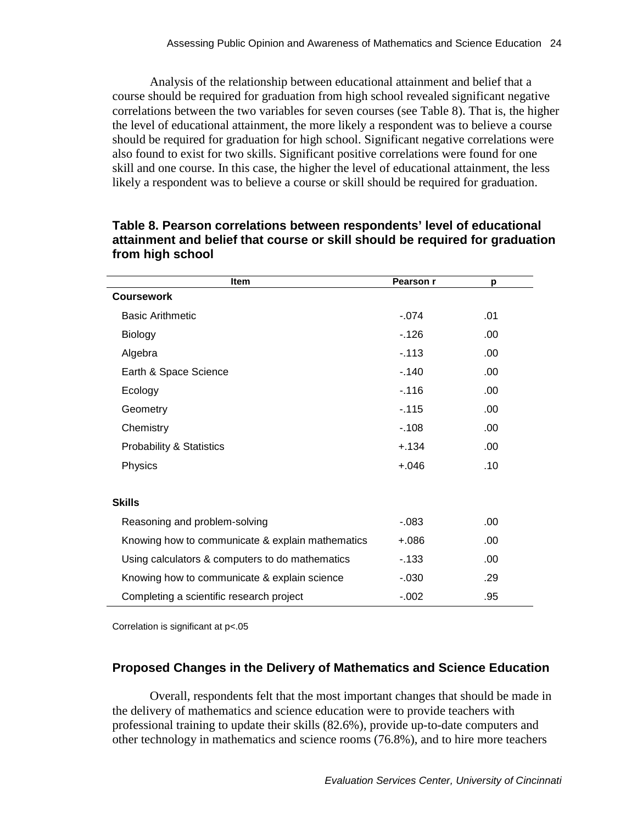<span id="page-33-0"></span>Analysis of the relationship between educational attainment and belief that a course should be required for graduation from high school revealed significant negative correlations between the two variables for seven courses (see Table 8). That is, the higher the level of educational attainment, the more likely a respondent was to believe a course should be required for graduation for high school. Significant negative correlations were also found to exist for two skills. Significant positive correlations were found for one skill and one course. In this case, the higher the level of educational attainment, the less likely a respondent was to believe a course or skill should be required for graduation.

| <b>Item</b>                                      | Pearson r | р    |
|--------------------------------------------------|-----------|------|
| <b>Coursework</b>                                |           |      |
| <b>Basic Arithmetic</b>                          | $-.074$   | .01  |
| <b>Biology</b>                                   | $-126$    | .00  |
| Algebra                                          | $-113$    | .00  |
| Earth & Space Science                            | $-140$    | .00  |
| Ecology                                          | $-.116$   | .00  |
| Geometry                                         | $-.115$   | .00  |
| Chemistry                                        | $-108$    | .00. |
| <b>Probability &amp; Statistics</b>              | $+.134$   | .00  |
| Physics                                          | $+.046$   | .10  |
|                                                  |           |      |
| <b>Skills</b>                                    |           |      |
| Reasoning and problem-solving                    | $-0.083$  | .00  |
| Knowing how to communicate & explain mathematics | $+.086$   | .00  |
| Using calculators & computers to do mathematics  | $-133$    | .00  |
| Knowing how to communicate & explain science     | $-0.030$  | .29  |
| Completing a scientific research project         | $-.002$   | .95  |

### **Table 8. Pearson correlations between respondents' level of educational attainment and belief that course or skill should be required for graduation from high school**

Correlation is significant at p<.05

### **Proposed Changes in the Delivery of Mathematics and Science Education**

Overall, respondents felt that the most important changes that should be made in the delivery of mathematics and science education were to provide teachers with professional training to update their skills (82.6%), provide up-to-date computers and other technology in mathematics and science rooms (76.8%), and to hire more teachers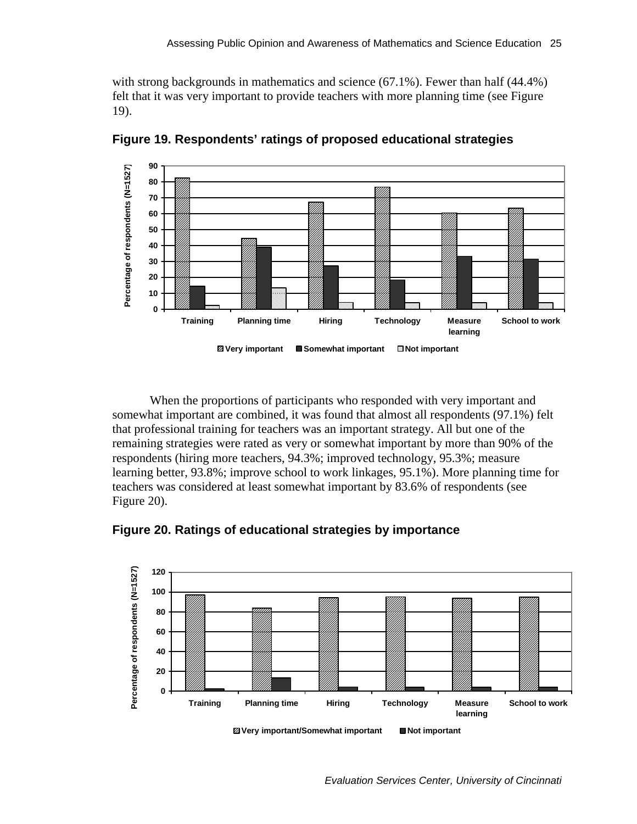<span id="page-34-0"></span>with strong backgrounds in mathematics and science (67.1%). Fewer than half (44.4%) felt that it was very important to provide teachers with more planning time (see Figure 19).



**Figure 19. Respondents' ratings of proposed educational strategies** 

When the proportions of participants who responded with very important and somewhat important are combined, it was found that almost all respondents (97.1%) felt that professional training for teachers was an important strategy. All but one of the remaining strategies were rated as very or somewhat important by more than 90% of the respondents (hiring more teachers, 94.3%; improved technology, 95.3%; measure learning better, 93.8%; improve school to work linkages, 95.1%). More planning time for teachers was considered at least somewhat important by 83.6% of respondents (see Figure 20).





**Z** Very important/Somewhat important ■ Not important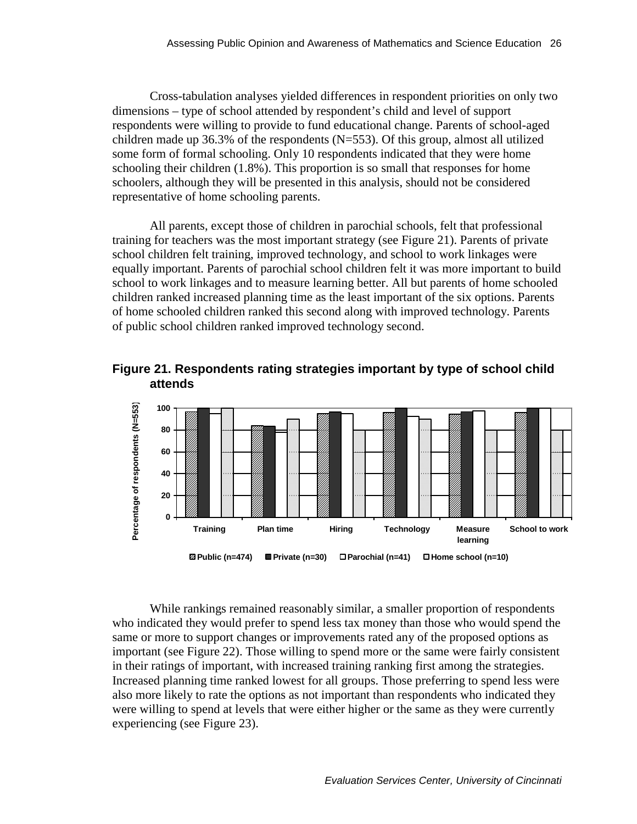<span id="page-35-0"></span>Cross-tabulation analyses yielded differences in respondent priorities on only two dimensions – type of school attended by respondent's child and level of support respondents were willing to provide to fund educational change. Parents of school-aged children made up 36.3% of the respondents (N=553). Of this group, almost all utilized some form of formal schooling. Only 10 respondents indicated that they were home schooling their children (1.8%). This proportion is so small that responses for home schoolers, although they will be presented in this analysis, should not be considered representative of home schooling parents.

All parents, except those of children in parochial schools, felt that professional training for teachers was the most important strategy (see Figure 21). Parents of private school children felt training, improved technology, and school to work linkages were equally important. Parents of parochial school children felt it was more important to build school to work linkages and to measure learning better. All but parents of home schooled children ranked increased planning time as the least important of the six options. Parents of home schooled children ranked this second along with improved technology. Parents of public school children ranked improved technology second.





While rankings remained reasonably similar, a smaller proportion of respondents who indicated they would prefer to spend less tax money than those who would spend the same or more to support changes or improvements rated any of the proposed options as important (see Figure 22). Those willing to spend more or the same were fairly consistent in their ratings of important, with increased training ranking first among the strategies. Increased planning time ranked lowest for all groups. Those preferring to spend less were also more likely to rate the options as not important than respondents who indicated they were willing to spend at levels that were either higher or the same as they were currently experiencing (see Figure 23).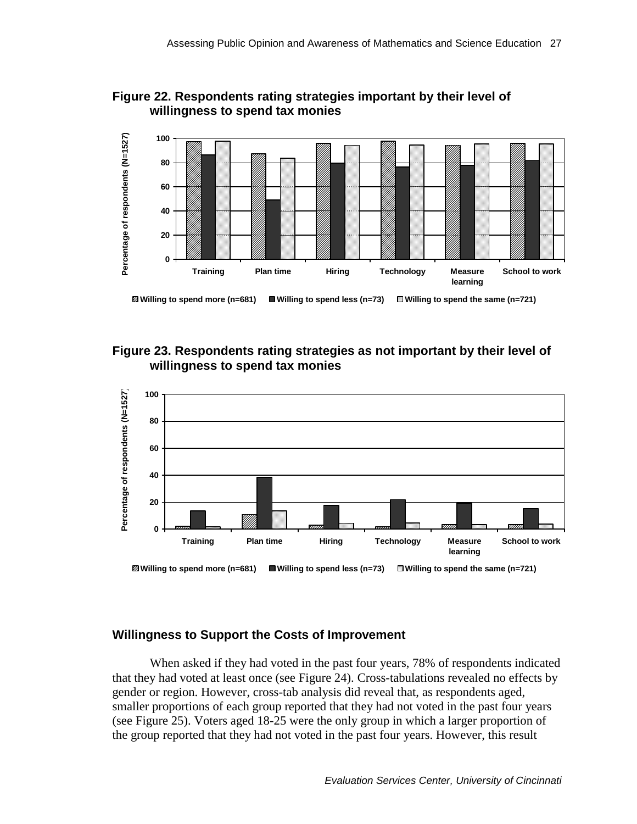<span id="page-36-0"></span>



### **Figure 23. Respondents rating strategies as not important by their level of willingness to spend tax monies**



#### **Willingness to Support the Costs of Improvement**

When asked if they had voted in the past four years, 78% of respondents indicated that they had voted at least once (see Figure 24). Cross-tabulations revealed no effects by gender or region. However, cross-tab analysis did reveal that, as respondents aged, smaller proportions of each group reported that they had not voted in the past four years (see Figure 25). Voters aged 18-25 were the only group in which a larger proportion of the group reported that they had not voted in the past four years. However, this result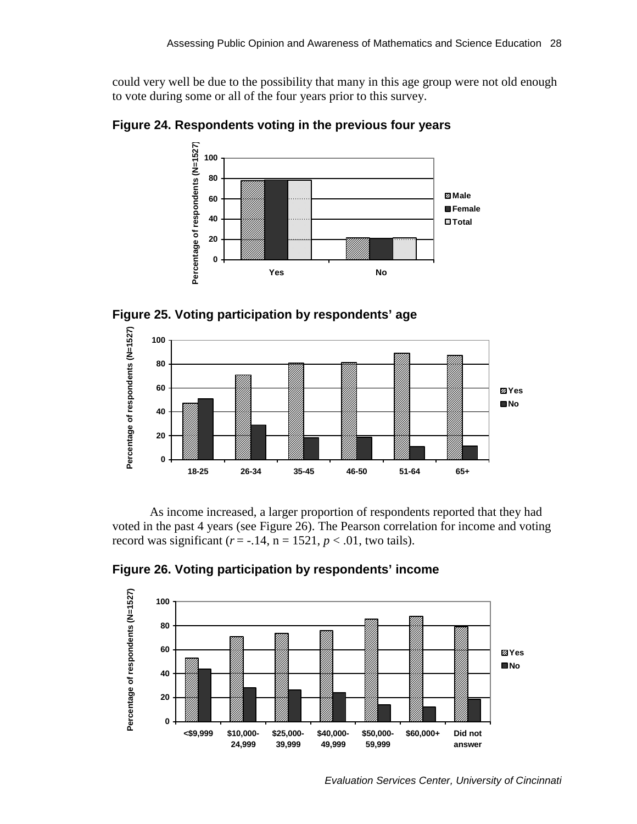<span id="page-37-0"></span>could very well be due to the possibility that many in this age group were not old enough to vote during some or all of the four years prior to this survey.

**Figure 24. Respondents voting in the previous four years** 



**Figure 25. Voting participation by respondents' age** 



As income increased, a larger proportion of respondents reported that they had voted in the past 4 years (see Figure 26). The Pearson correlation for income and voting record was significant  $(r = -.14, n = 1521, p < .01$ , two tails).



**Figure 26. Voting participation by respondents' income** 

*Evaluation Services Center, University of Cincinnati*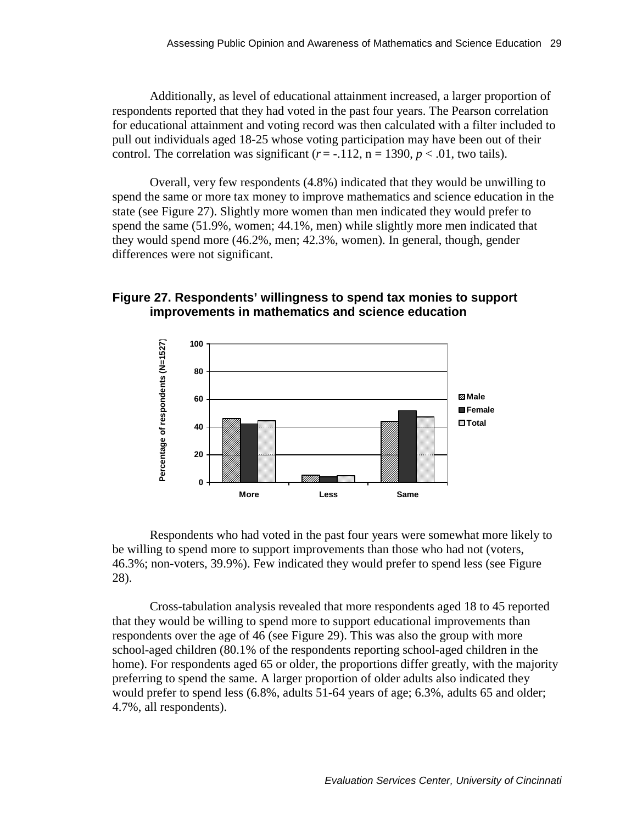<span id="page-38-0"></span>Additionally, as level of educational attainment increased, a larger proportion of respondents reported that they had voted in the past four years. The Pearson correlation for educational attainment and voting record was then calculated with a filter included to pull out individuals aged 18-25 whose voting participation may have been out of their control. The correlation was significant  $(r = -.112, n = 1390, p < .01$ , two tails).

Overall, very few respondents (4.8%) indicated that they would be unwilling to spend the same or more tax money to improve mathematics and science education in the state (see Figure 27). Slightly more women than men indicated they would prefer to spend the same (51.9%, women; 44.1%, men) while slightly more men indicated that they would spend more (46.2%, men; 42.3%, women). In general, though, gender differences were not significant.

### **Figure 27. Respondents' willingness to spend tax monies to support improvements in mathematics and science education**



Respondents who had voted in the past four years were somewhat more likely to be willing to spend more to support improvements than those who had not (voters, 46.3%; non-voters, 39.9%). Few indicated they would prefer to spend less (see Figure 28).

Cross-tabulation analysis revealed that more respondents aged 18 to 45 reported that they would be willing to spend more to support educational improvements than respondents over the age of 46 (see Figure 29). This was also the group with more school-aged children (80.1% of the respondents reporting school-aged children in the home). For respondents aged 65 or older, the proportions differ greatly, with the majority preferring to spend the same. A larger proportion of older adults also indicated they would prefer to spend less (6.8%, adults 51-64 years of age; 6.3%, adults 65 and older; 4.7%, all respondents).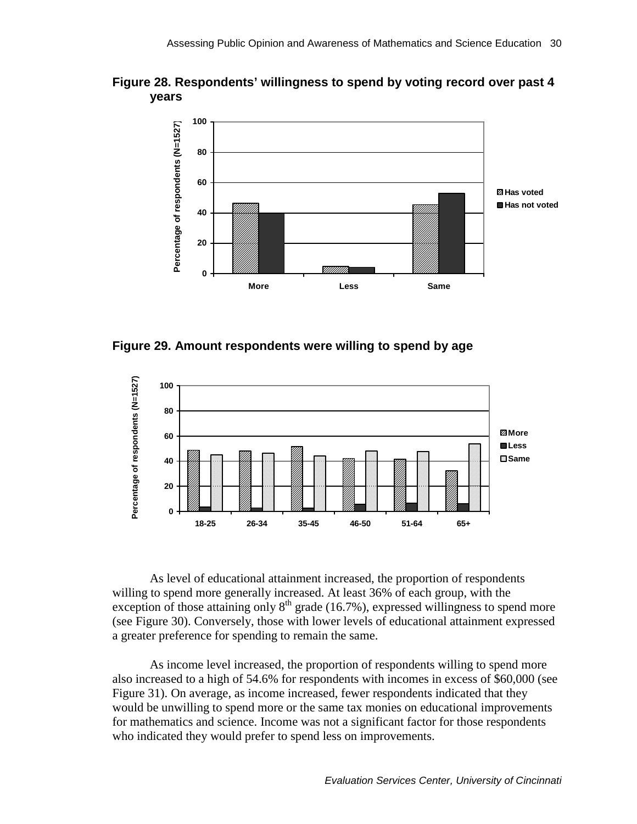<span id="page-39-0"></span>



**Figure 29. Amount respondents were willing to spend by age** 



As level of educational attainment increased, the proportion of respondents willing to spend more generally increased. At least 36% of each group, with the exception of those attaining only  $8<sup>th</sup>$  grade (16.7%), expressed willingness to spend more (see Figure 30). Conversely, those with lower levels of educational attainment expressed a greater preference for spending to remain the same.

As income level increased, the proportion of respondents willing to spend more also increased to a high of 54.6% for respondents with incomes in excess of \$60,000 (see Figure 31). On average, as income increased, fewer respondents indicated that they would be unwilling to spend more or the same tax monies on educational improvements for mathematics and science. Income was not a significant factor for those respondents who indicated they would prefer to spend less on improvements.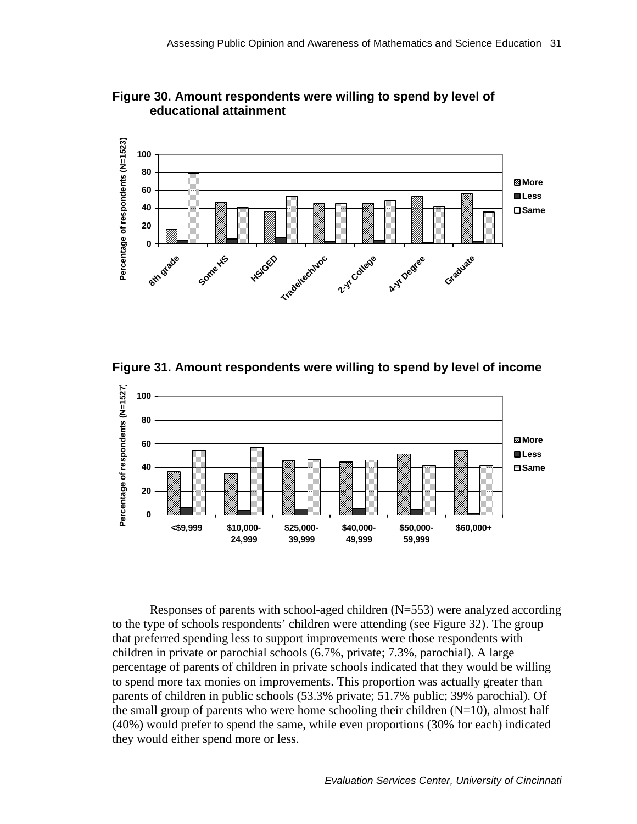

<span id="page-40-0"></span>**Figure 30. Amount respondents were willing to spend by level of educational attainment** 

**Figure 31. Amount respondents were willing to spend by level of income** 



Responses of parents with school-aged children (N=553) were analyzed according to the type of schools respondents' children were attending (see Figure 32). The group that preferred spending less to support improvements were those respondents with children in private or parochial schools (6.7%, private; 7.3%, parochial). A large percentage of parents of children in private schools indicated that they would be willing to spend more tax monies on improvements. This proportion was actually greater than parents of children in public schools (53.3% private; 51.7% public; 39% parochial). Of the small group of parents who were home schooling their children  $(N=10)$ , almost half (40%) would prefer to spend the same, while even proportions (30% for each) indicated they would either spend more or less.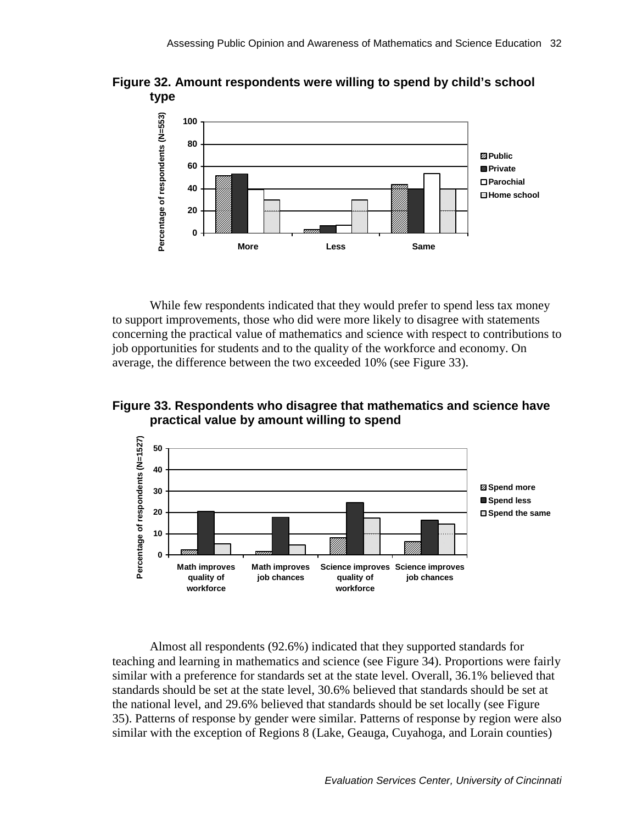<span id="page-41-0"></span>



While few respondents indicated that they would prefer to spend less tax money to support improvements, those who did were more likely to disagree with statements concerning the practical value of mathematics and science with respect to contributions to job opportunities for students and to the quality of the workforce and economy. On average, the difference between the two exceeded 10% (see Figure 33).

**Figure 33. Respondents who disagree that mathematics and science have practical value by amount willing to spend** 



Almost all respondents (92.6%) indicated that they supported standards for teaching and learning in mathematics and science (see Figure 34). Proportions were fairly similar with a preference for standards set at the state level. Overall, 36.1% believed that standards should be set at the state level, 30.6% believed that standards should be set at the national level, and 29.6% believed that standards should be set locally (see Figure 35). Patterns of response by gender were similar. Patterns of response by region were also similar with the exception of Regions 8 (Lake, Geauga, Cuyahoga, and Lorain counties)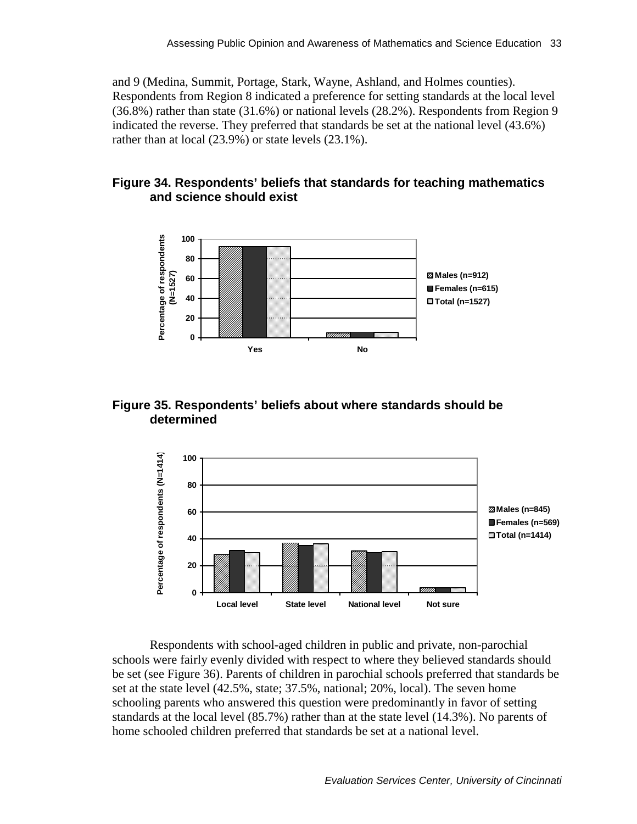<span id="page-42-0"></span>and 9 (Medina, Summit, Portage, Stark, Wayne, Ashland, and Holmes counties). Respondents from Region 8 indicated a preference for setting standards at the local level (36.8%) rather than state (31.6%) or national levels (28.2%). Respondents from Region 9 indicated the reverse. They preferred that standards be set at the national level (43.6%) rather than at local (23.9%) or state levels (23.1%).

### **Figure 34. Respondents' beliefs that standards for teaching mathematics and science should exist**



### **Figure 35. Respondents' beliefs about where standards should be determined**



Respondents with school-aged children in public and private, non-parochial schools were fairly evenly divided with respect to where they believed standards should be set (see Figure 36). Parents of children in parochial schools preferred that standards be set at the state level (42.5%, state; 37.5%, national; 20%, local). The seven home schooling parents who answered this question were predominantly in favor of setting standards at the local level (85.7%) rather than at the state level (14.3%). No parents of home schooled children preferred that standards be set at a national level.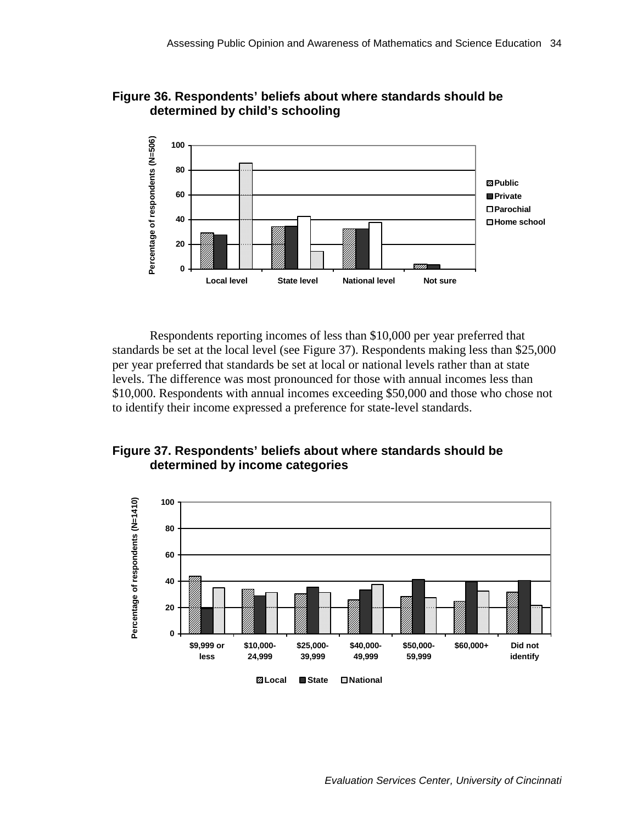

<span id="page-43-0"></span>**Figure 36. Respondents' beliefs about where standards should be determined by child's schooling** 

Respondents reporting incomes of less than \$10,000 per year preferred that standards be set at the local level (see Figure 37). Respondents making less than \$25,000 per year preferred that standards be set at local or national levels rather than at state levels. The difference was most pronounced for those with annual incomes less than \$10,000. Respondents with annual incomes exceeding \$50,000 and those who chose not to identify their income expressed a preference for state-level standards.



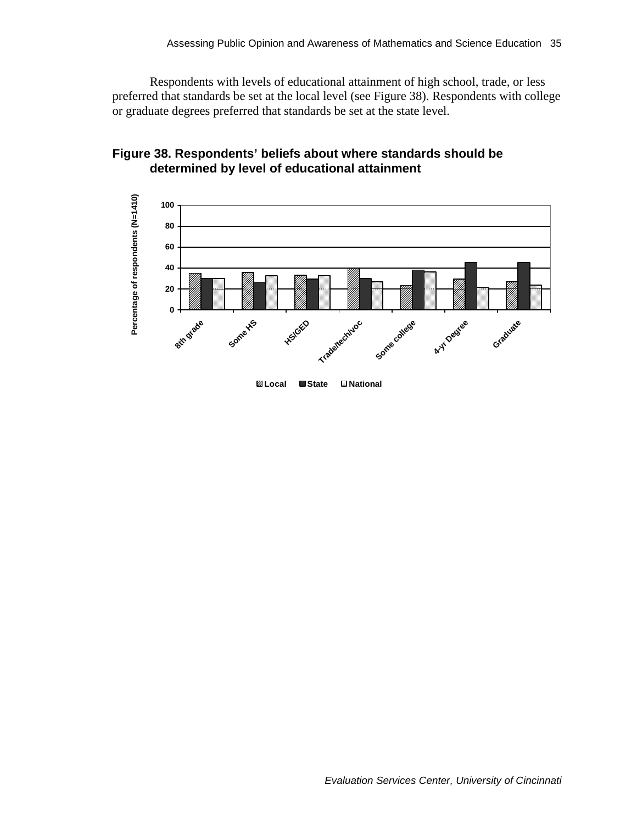<span id="page-44-0"></span>Respondents with levels of educational attainment of high school, trade, or less preferred that standards be set at the local level (see Figure 38). Respondents with college or graduate degrees preferred that standards be set at the state level.



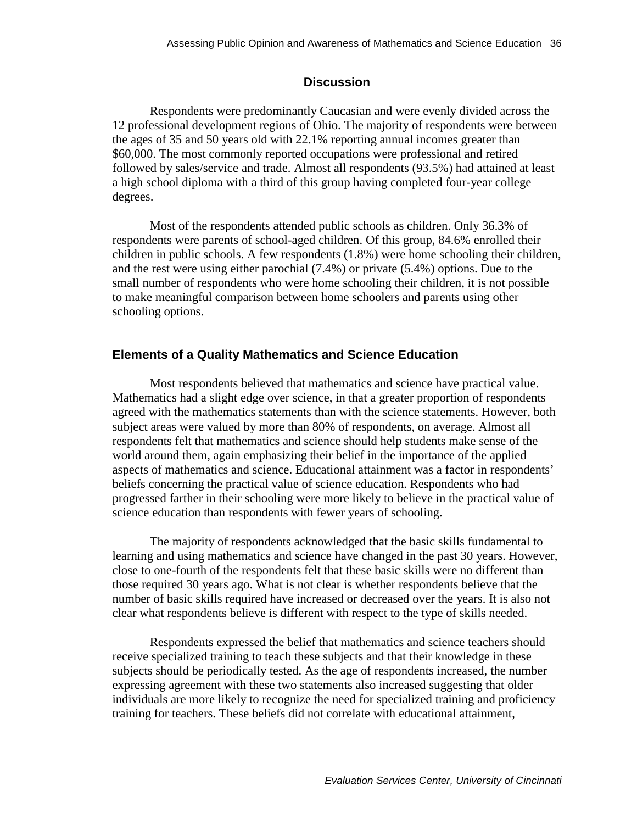### **Discussion**

<span id="page-45-0"></span>Respondents were predominantly Caucasian and were evenly divided across the 12 professional development regions of Ohio. The majority of respondents were between the ages of 35 and 50 years old with 22.1% reporting annual incomes greater than \$60,000. The most commonly reported occupations were professional and retired followed by sales/service and trade. Almost all respondents (93.5%) had attained at least a high school diploma with a third of this group having completed four-year college degrees.

Most of the respondents attended public schools as children. Only 36.3% of respondents were parents of school-aged children. Of this group, 84.6% enrolled their children in public schools. A few respondents (1.8%) were home schooling their children, and the rest were using either parochial (7.4%) or private (5.4%) options. Due to the small number of respondents who were home schooling their children, it is not possible to make meaningful comparison between home schoolers and parents using other schooling options.

#### **Elements of a Quality Mathematics and Science Education**

Most respondents believed that mathematics and science have practical value. Mathematics had a slight edge over science, in that a greater proportion of respondents agreed with the mathematics statements than with the science statements. However, both subject areas were valued by more than 80% of respondents, on average. Almost all respondents felt that mathematics and science should help students make sense of the world around them, again emphasizing their belief in the importance of the applied aspects of mathematics and science. Educational attainment was a factor in respondents' beliefs concerning the practical value of science education. Respondents who had progressed farther in their schooling were more likely to believe in the practical value of science education than respondents with fewer years of schooling.

The majority of respondents acknowledged that the basic skills fundamental to learning and using mathematics and science have changed in the past 30 years. However, close to one-fourth of the respondents felt that these basic skills were no different than those required 30 years ago. What is not clear is whether respondents believe that the number of basic skills required have increased or decreased over the years. It is also not clear what respondents believe is different with respect to the type of skills needed.

Respondents expressed the belief that mathematics and science teachers should receive specialized training to teach these subjects and that their knowledge in these subjects should be periodically tested. As the age of respondents increased, the number expressing agreement with these two statements also increased suggesting that older individuals are more likely to recognize the need for specialized training and proficiency training for teachers. These beliefs did not correlate with educational attainment,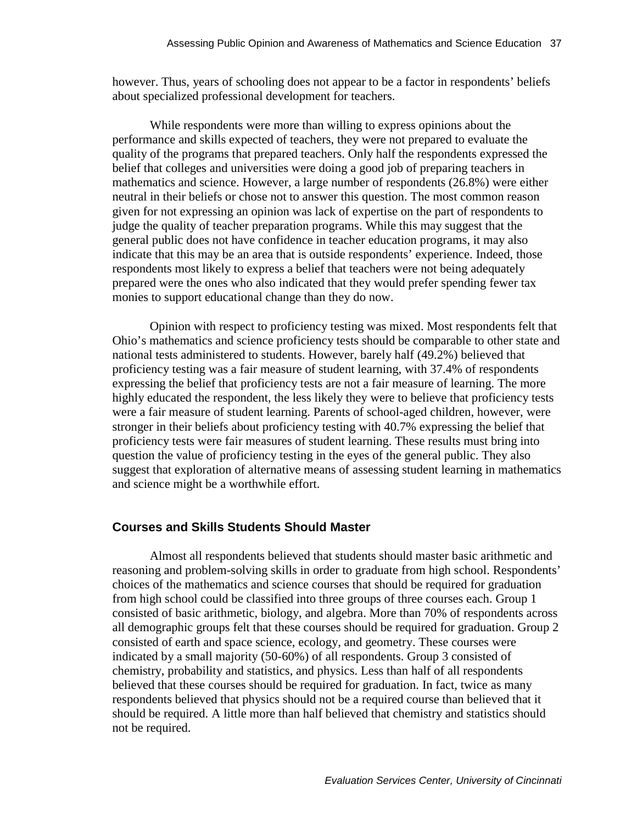however. Thus, years of schooling does not appear to be a factor in respondents' beliefs about specialized professional development for teachers.

While respondents were more than willing to express opinions about the performance and skills expected of teachers, they were not prepared to evaluate the quality of the programs that prepared teachers. Only half the respondents expressed the belief that colleges and universities were doing a good job of preparing teachers in mathematics and science. However, a large number of respondents (26.8%) were either neutral in their beliefs or chose not to answer this question. The most common reason given for not expressing an opinion was lack of expertise on the part of respondents to judge the quality of teacher preparation programs. While this may suggest that the general public does not have confidence in teacher education programs, it may also indicate that this may be an area that is outside respondents' experience. Indeed, those respondents most likely to express a belief that teachers were not being adequately prepared were the ones who also indicated that they would prefer spending fewer tax monies to support educational change than they do now.

Opinion with respect to proficiency testing was mixed. Most respondents felt that Ohio's mathematics and science proficiency tests should be comparable to other state and national tests administered to students. However, barely half (49.2%) believed that proficiency testing was a fair measure of student learning, with 37.4% of respondents expressing the belief that proficiency tests are not a fair measure of learning. The more highly educated the respondent, the less likely they were to believe that proficiency tests were a fair measure of student learning. Parents of school-aged children, however, were stronger in their beliefs about proficiency testing with 40.7% expressing the belief that proficiency tests were fair measures of student learning. These results must bring into question the value of proficiency testing in the eyes of the general public. They also suggest that exploration of alternative means of assessing student learning in mathematics and science might be a worthwhile effort.

#### **Courses and Skills Students Should Master**

Almost all respondents believed that students should master basic arithmetic and reasoning and problem-solving skills in order to graduate from high school. Respondents' choices of the mathematics and science courses that should be required for graduation from high school could be classified into three groups of three courses each. Group 1 consisted of basic arithmetic, biology, and algebra. More than 70% of respondents across all demographic groups felt that these courses should be required for graduation. Group 2 consisted of earth and space science, ecology, and geometry. These courses were indicated by a small majority (50-60%) of all respondents. Group 3 consisted of chemistry, probability and statistics, and physics. Less than half of all respondents believed that these courses should be required for graduation. In fact, twice as many respondents believed that physics should not be a required course than believed that it should be required. A little more than half believed that chemistry and statistics should not be required.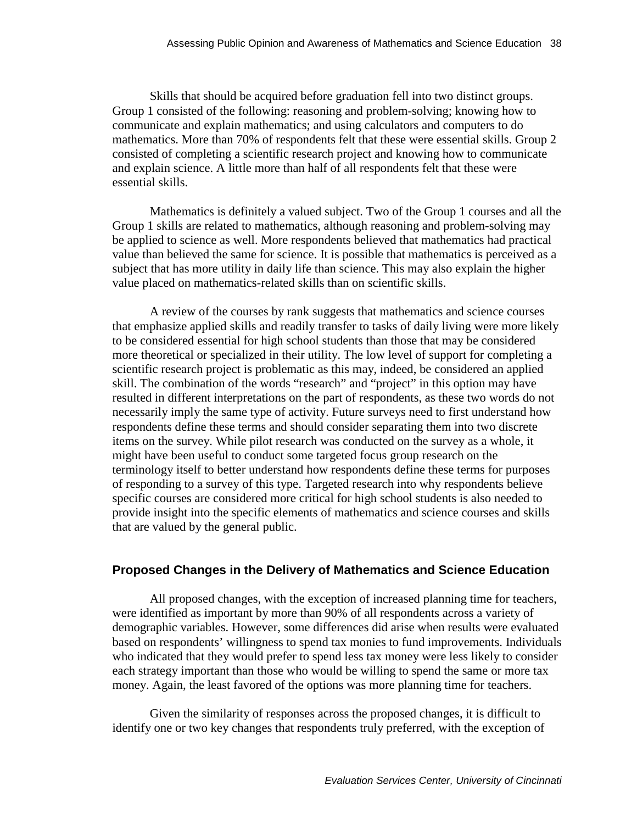Skills that should be acquired before graduation fell into two distinct groups. Group 1 consisted of the following: reasoning and problem-solving; knowing how to communicate and explain mathematics; and using calculators and computers to do mathematics. More than 70% of respondents felt that these were essential skills. Group 2 consisted of completing a scientific research project and knowing how to communicate and explain science. A little more than half of all respondents felt that these were essential skills.

Mathematics is definitely a valued subject. Two of the Group 1 courses and all the Group 1 skills are related to mathematics, although reasoning and problem-solving may be applied to science as well. More respondents believed that mathematics had practical value than believed the same for science. It is possible that mathematics is perceived as a subject that has more utility in daily life than science. This may also explain the higher value placed on mathematics-related skills than on scientific skills.

A review of the courses by rank suggests that mathematics and science courses that emphasize applied skills and readily transfer to tasks of daily living were more likely to be considered essential for high school students than those that may be considered more theoretical or specialized in their utility. The low level of support for completing a scientific research project is problematic as this may, indeed, be considered an applied skill. The combination of the words "research" and "project" in this option may have resulted in different interpretations on the part of respondents, as these two words do not necessarily imply the same type of activity. Future surveys need to first understand how respondents define these terms and should consider separating them into two discrete items on the survey. While pilot research was conducted on the survey as a whole, it might have been useful to conduct some targeted focus group research on the terminology itself to better understand how respondents define these terms for purposes of responding to a survey of this type. Targeted research into why respondents believe specific courses are considered more critical for high school students is also needed to provide insight into the specific elements of mathematics and science courses and skills that are valued by the general public.

#### **Proposed Changes in the Delivery of Mathematics and Science Education**

All proposed changes, with the exception of increased planning time for teachers, were identified as important by more than 90% of all respondents across a variety of demographic variables. However, some differences did arise when results were evaluated based on respondents' willingness to spend tax monies to fund improvements. Individuals who indicated that they would prefer to spend less tax money were less likely to consider each strategy important than those who would be willing to spend the same or more tax money. Again, the least favored of the options was more planning time for teachers.

Given the similarity of responses across the proposed changes, it is difficult to identify one or two key changes that respondents truly preferred, with the exception of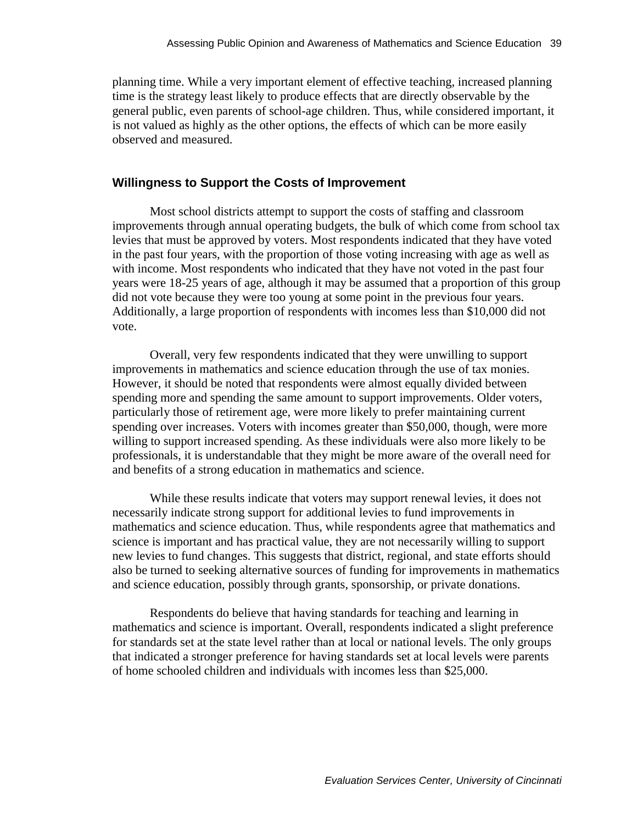planning time. While a very important element of effective teaching, increased planning time is the strategy least likely to produce effects that are directly observable by the general public, even parents of school-age children. Thus, while considered important, it is not valued as highly as the other options, the effects of which can be more easily observed and measured.

#### **Willingness to Support the Costs of Improvement**

Most school districts attempt to support the costs of staffing and classroom improvements through annual operating budgets, the bulk of which come from school tax levies that must be approved by voters. Most respondents indicated that they have voted in the past four years, with the proportion of those voting increasing with age as well as with income. Most respondents who indicated that they have not voted in the past four years were 18-25 years of age, although it may be assumed that a proportion of this group did not vote because they were too young at some point in the previous four years. Additionally, a large proportion of respondents with incomes less than \$10,000 did not vote.

Overall, very few respondents indicated that they were unwilling to support improvements in mathematics and science education through the use of tax monies. However, it should be noted that respondents were almost equally divided between spending more and spending the same amount to support improvements. Older voters, particularly those of retirement age, were more likely to prefer maintaining current spending over increases. Voters with incomes greater than \$50,000, though, were more willing to support increased spending. As these individuals were also more likely to be professionals, it is understandable that they might be more aware of the overall need for and benefits of a strong education in mathematics and science.

While these results indicate that voters may support renewal levies, it does not necessarily indicate strong support for additional levies to fund improvements in mathematics and science education. Thus, while respondents agree that mathematics and science is important and has practical value, they are not necessarily willing to support new levies to fund changes. This suggests that district, regional, and state efforts should also be turned to seeking alternative sources of funding for improvements in mathematics and science education, possibly through grants, sponsorship, or private donations.

Respondents do believe that having standards for teaching and learning in mathematics and science is important. Overall, respondents indicated a slight preference for standards set at the state level rather than at local or national levels. The only groups that indicated a stronger preference for having standards set at local levels were parents of home schooled children and individuals with incomes less than \$25,000.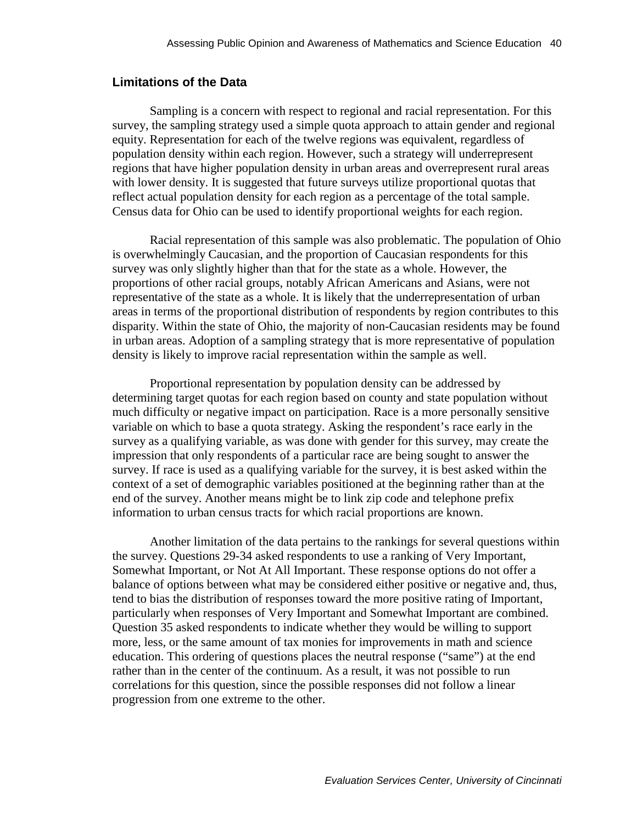#### <span id="page-49-0"></span>**Limitations of the Data**

Sampling is a concern with respect to regional and racial representation. For this survey, the sampling strategy used a simple quota approach to attain gender and regional equity. Representation for each of the twelve regions was equivalent, regardless of population density within each region. However, such a strategy will underrepresent regions that have higher population density in urban areas and overrepresent rural areas with lower density. It is suggested that future surveys utilize proportional quotas that reflect actual population density for each region as a percentage of the total sample. Census data for Ohio can be used to identify proportional weights for each region.

Racial representation of this sample was also problematic. The population of Ohio is overwhelmingly Caucasian, and the proportion of Caucasian respondents for this survey was only slightly higher than that for the state as a whole. However, the proportions of other racial groups, notably African Americans and Asians, were not representative of the state as a whole. It is likely that the underrepresentation of urban areas in terms of the proportional distribution of respondents by region contributes to this disparity. Within the state of Ohio, the majority of non-Caucasian residents may be found in urban areas. Adoption of a sampling strategy that is more representative of population density is likely to improve racial representation within the sample as well.

Proportional representation by population density can be addressed by determining target quotas for each region based on county and state population without much difficulty or negative impact on participation. Race is a more personally sensitive variable on which to base a quota strategy. Asking the respondent's race early in the survey as a qualifying variable, as was done with gender for this survey, may create the impression that only respondents of a particular race are being sought to answer the survey. If race is used as a qualifying variable for the survey, it is best asked within the context of a set of demographic variables positioned at the beginning rather than at the end of the survey. Another means might be to link zip code and telephone prefix information to urban census tracts for which racial proportions are known.

Another limitation of the data pertains to the rankings for several questions within the survey. Questions 29-34 asked respondents to use a ranking of Very Important, Somewhat Important, or Not At All Important. These response options do not offer a balance of options between what may be considered either positive or negative and, thus, tend to bias the distribution of responses toward the more positive rating of Important, particularly when responses of Very Important and Somewhat Important are combined. Question 35 asked respondents to indicate whether they would be willing to support more, less, or the same amount of tax monies for improvements in math and science education. This ordering of questions places the neutral response ("same") at the end rather than in the center of the continuum. As a result, it was not possible to run correlations for this question, since the possible responses did not follow a linear progression from one extreme to the other.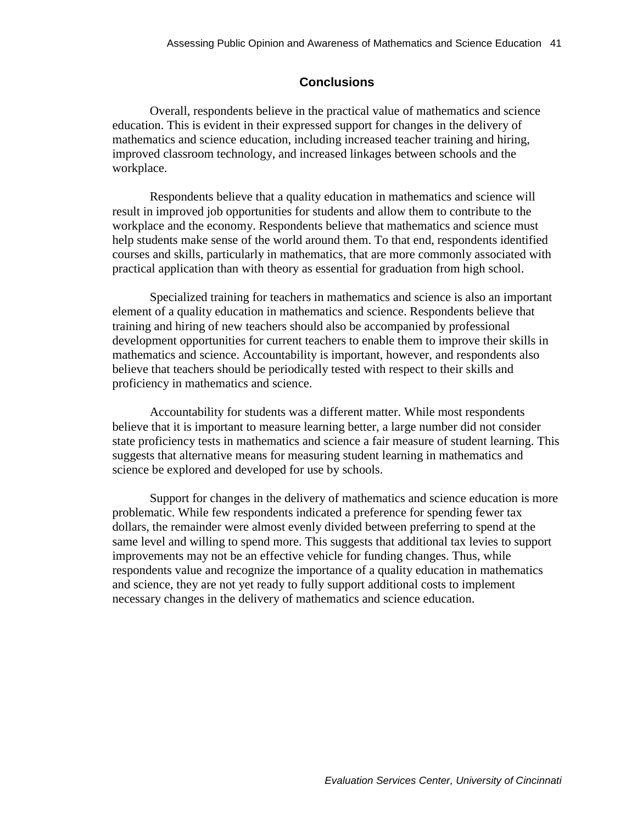### **Conclusions**

<span id="page-50-0"></span>Overall, respondents believe in the practical value of mathematics and science education. This is evident in their expressed support for changes in the delivery of mathematics and science education, including increased teacher training and hiring, improved classroom technology, and increased linkages between schools and the workplace.

Respondents believe that a quality education in mathematics and science will result in improved job opportunities for students and allow them to contribute to the workplace and the economy. Respondents believe that mathematics and science must help students make sense of the world around them. To that end, respondents identified courses and skills, particularly in mathematics, that are more commonly associated with practical application than with theory as essential for graduation from high school.

Specialized training for teachers in mathematics and science is also an important element of a quality education in mathematics and science. Respondents believe that training and hiring of new teachers should also be accompanied by professional development opportunities for current teachers to enable them to improve their skills in mathematics and science. Accountability is important, however, and respondents also believe that teachers should be periodically tested with respect to their skills and proficiency in mathematics and science.

Accountability for students was a different matter. While most respondents believe that it is important to measure learning better, a large number did not consider state proficiency tests in mathematics and science a fair measure of student learning. This suggests that alternative means for measuring student learning in mathematics and science be explored and developed for use by schools.

Support for changes in the delivery of mathematics and science education is more problematic. While few respondents indicated a preference for spending fewer tax dollars, the remainder were almost evenly divided between preferring to spend at the same level and willing to spend more. This suggests that additional tax levies to support improvements may not be an effective vehicle for funding changes. Thus, while respondents value and recognize the importance of a quality education in mathematics and science, they are not yet ready to fully support additional costs to implement necessary changes in the delivery of mathematics and science education.